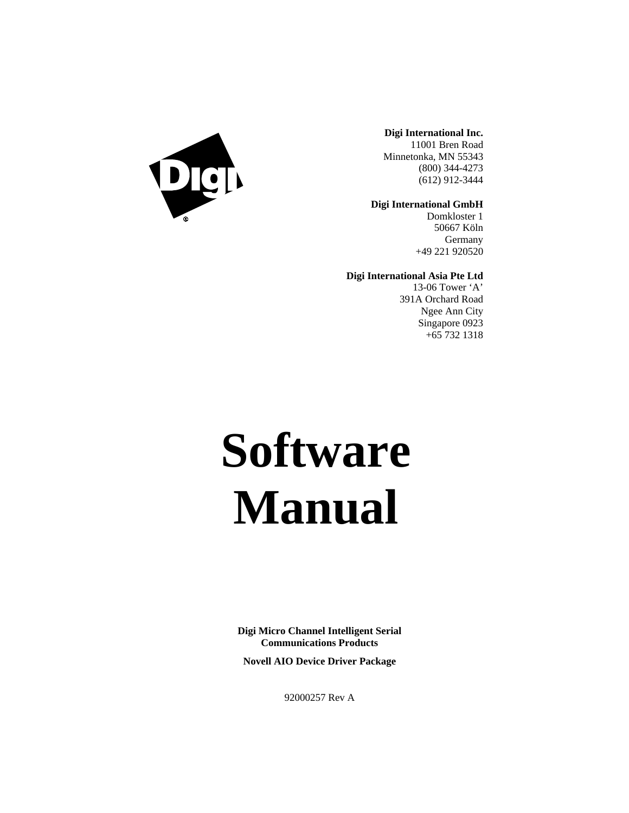

**Digi International Inc.** 11001 Bren Road

Minnetonka, MN 55343 (800) 344-4273 (612) 912-3444

**Digi International GmbH**

Domkloster 1 50667 Köln Germany +49 221 920520

**Digi International Asia Pte Ltd**

13-06 Tower 'A' 391A Orchard Road Ngee Ann City Singapore 0923 +65 732 1318

# **Software Manual**

**Digi Micro Channel Intelligent Serial Communications Products**

**Novell AIO Device Driver Package**

92000257 Rev A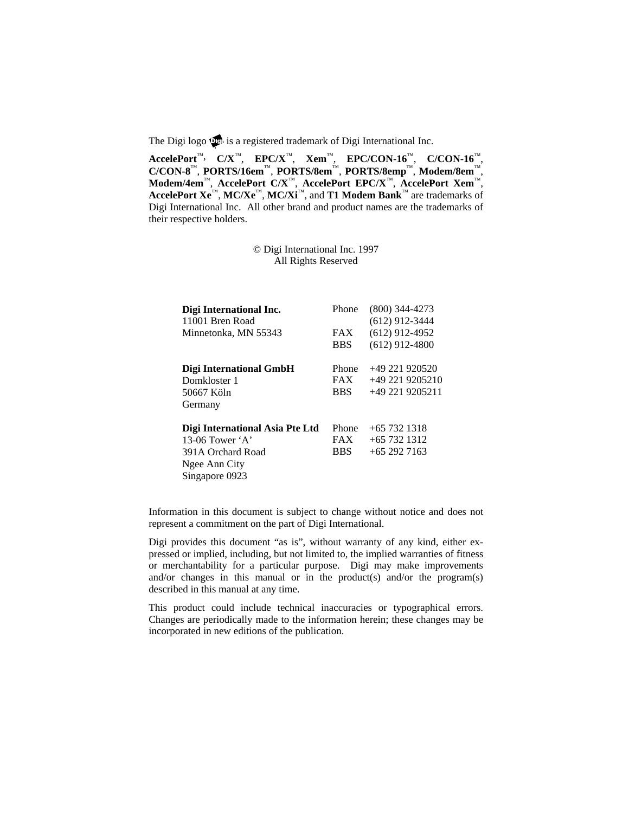The Digi logo  $\mathbb{Q}$  is a registered trademark of Digi International Inc.

**AccelePort**™, **C/X**™, **EPC/X**™, **Xem**™, **EPC/CON-16**™, **C/CON-16**™, **C/CON-8**™, **PORTS/16em**™, **PORTS/8em**™, **PORTS/8emp**™, **Modem/8em**™, **Modem/4em**™, **AccelePort C/X**™, **AccelePort EPC/X**™, **AccelePort Xem**™, **AccelePort Xe**™, **MC/Xe**™, **MC/Xi**™, and **T1 Modem Bank**™ are trademarks of Digi International Inc. All other brand and product names are the trademarks of their respective holders.

> © Digi International Inc. 1997 All Rights Reserved

| Digi International Inc.         | Phone      | $(800)$ 344-4273 |
|---------------------------------|------------|------------------|
| 11001 Bren Road                 |            | $(612)$ 912-3444 |
| Minnetonka, MN 55343            | <b>FAX</b> | $(612)$ 912-4952 |
|                                 | <b>BBS</b> | $(612)$ 912-4800 |
| Digi International GmbH         | Phone      | +49 221 920520   |
| Domkloster 1                    | <b>FAX</b> | $+492219205210$  |
| 50667 Köln                      | <b>BBS</b> | +49 221 9205211  |
| Germany                         |            |                  |
| Digi International Asia Pte Ltd | Phone      | $+657321318$     |
| 13-06 Tower $\mathbf{A}$        | <b>FAX</b> | $+65$ 732 1312   |
| 391A Orchard Road               | <b>BBS</b> | $+652927163$     |
| Ngee Ann City                   |            |                  |
| Singapore 0923                  |            |                  |

Information in this document is subject to change without notice and does not represent a commitment on the part of Digi International.

Digi provides this document "as is", without warranty of any kind, either expressed or implied, including, but not limited to, the implied warranties of fitness or merchantability for a particular purpose. Digi may make improvements and/or changes in this manual or in the product(s) and/or the program(s) described in this manual at any time.

This product could include technical inaccuracies or typographical errors. Changes are periodically made to the information herein; these changes may be incorporated in new editions of the publication.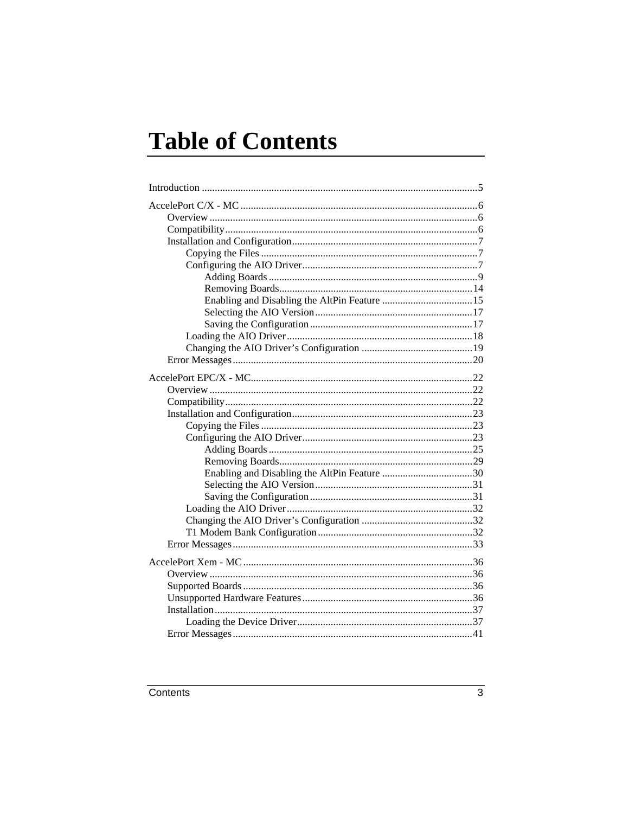# **Table of Contents**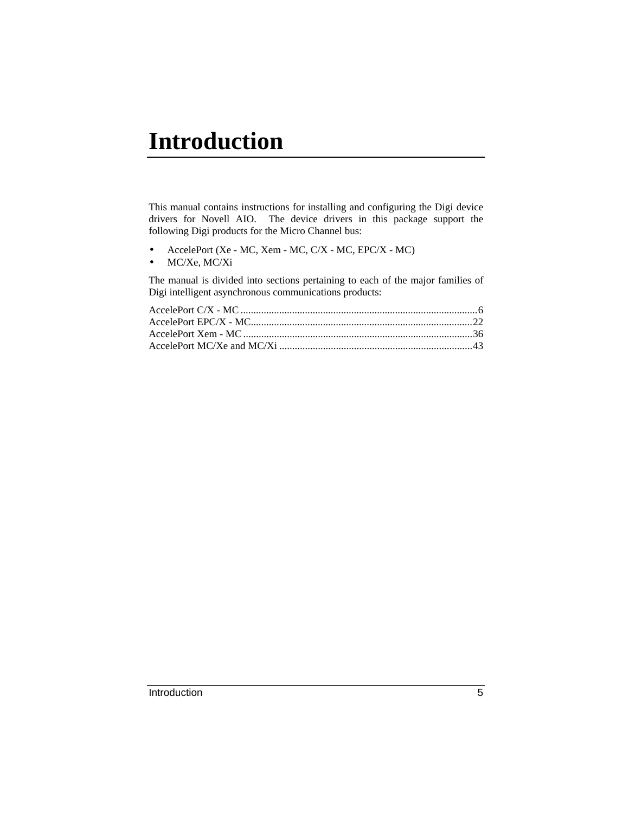# **Introduction**

This manual contains instructions for installing and configuring the Digi device drivers for Novell AIO. The device drivers in this package support the following Digi products for the Micro Channel bus:

- AccelePort (Xe MC, Xem MC, C/X MC, EPC/X MC)
- MC/Xe, MC/Xi

The manual is divided into sections pertaining to each of the major families of Digi intelligent asynchronous communications products: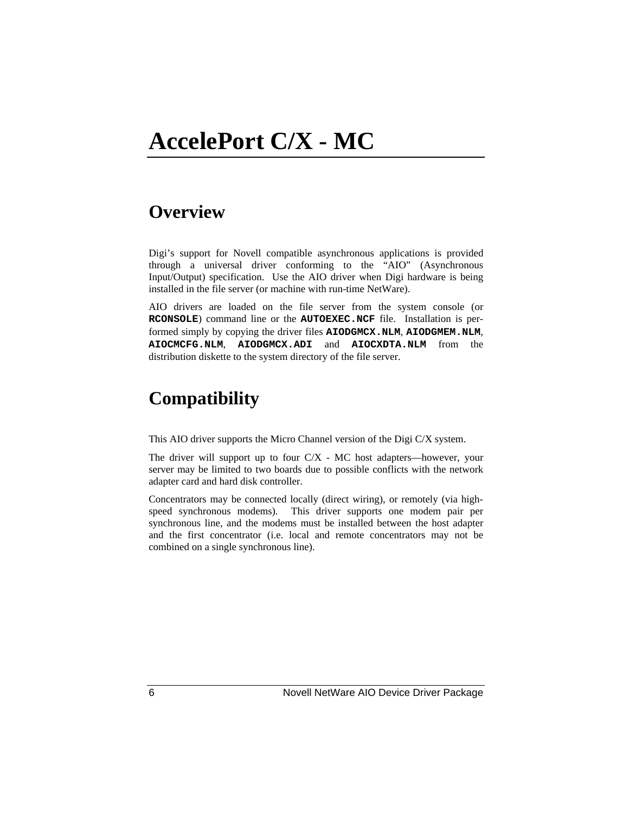# **Overview**

Digi's support for Novell compatible asynchronous applications is provided through a universal driver conforming to the "AIO" (Asynchronous Input/Output) specification. Use the AIO driver when Digi hardware is being installed in the file server (or machine with run-time NetWare).

AIO drivers are loaded on the file server from the system console (or **RCONSOLE**) command line or the **AUTOEXEC.NCF** file. Installation is performed simply by copying the driver files **AIODGMCX.NLM**, **AIODGMEM.NLM**, **AIOCMCFG.NLM**, **AIODGMCX.ADI** and **AIOCXDTA.NLM** from the distribution diskette to the system directory of the file server.

# **Compatibility**

This AIO driver supports the Micro Channel version of the Digi C/X system.

The driver will support up to four  $C/X$  - MC host adapters—however, your server may be limited to two boards due to possible conflicts with the network adapter card and hard disk controller.

Concentrators may be connected locally (direct wiring), or remotely (via highspeed synchronous modems). This driver supports one modem pair per synchronous line, and the modems must be installed between the host adapter and the first concentrator (i.e. local and remote concentrators may not be combined on a single synchronous line).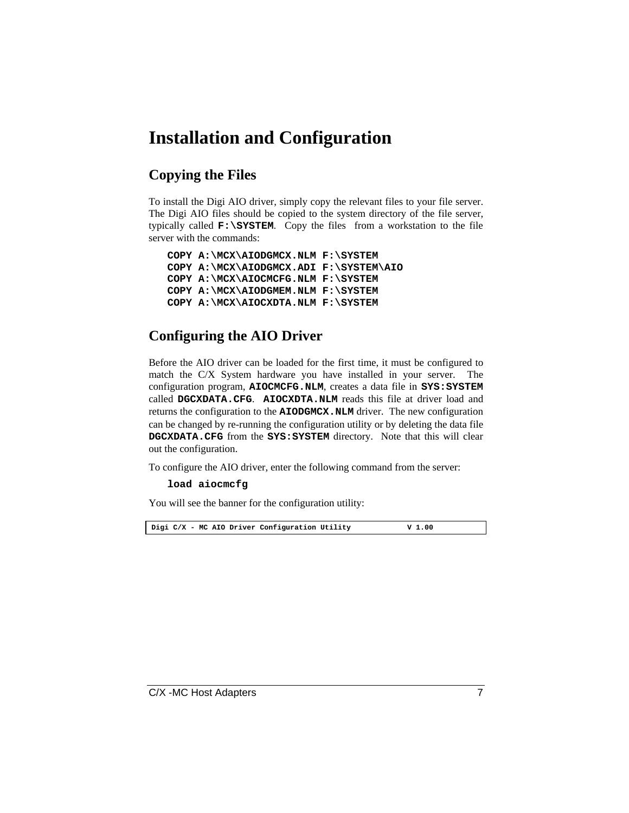# **Installation and Configuration**

### **Copying the Files**

To install the Digi AIO driver, simply copy the relevant files to your file server. The Digi AIO files should be copied to the system directory of the file server, typically called **F:\SYSTEM**. Copy the files from a workstation to the file server with the commands:

```
COPY A:\MCX\AIODGMCX.NLM F:\SYSTEM
COPY A:\MCX\AIODGMCX.ADI F:\SYSTEM\AIO
COPY A:\MCX\AIOCMCFG.NLM F:\SYSTEM
COPY A:\MCX\AIODGMEM.NLM F:\SYSTEM
COPY A:\MCX\AIOCXDTA.NLM F:\SYSTEM
```
### **Configuring the AIO Driver**

Before the AIO driver can be loaded for the first time, it must be configured to match the C/X System hardware you have installed in your server. The configuration program, **AIOCMCFG.NLM**, creates a data file in **SYS:SYSTEM** called **DGCXDATA.CFG**. **AIOCXDTA.NLM** reads this file at driver load and returns the configuration to the **AIODGMCX.NLM** driver. The new configuration can be changed by re-running the configuration utility or by deleting the data file **DGCXDATA.CFG** from the **SYS:SYSTEM** directory. Note that this will clear out the configuration.

To configure the AIO driver, enter the following command from the server:

#### **load aiocmcfg**

You will see the banner for the configuration utility:

**Digi C/X - MC AIO Driver Configuration Utility V 1.00**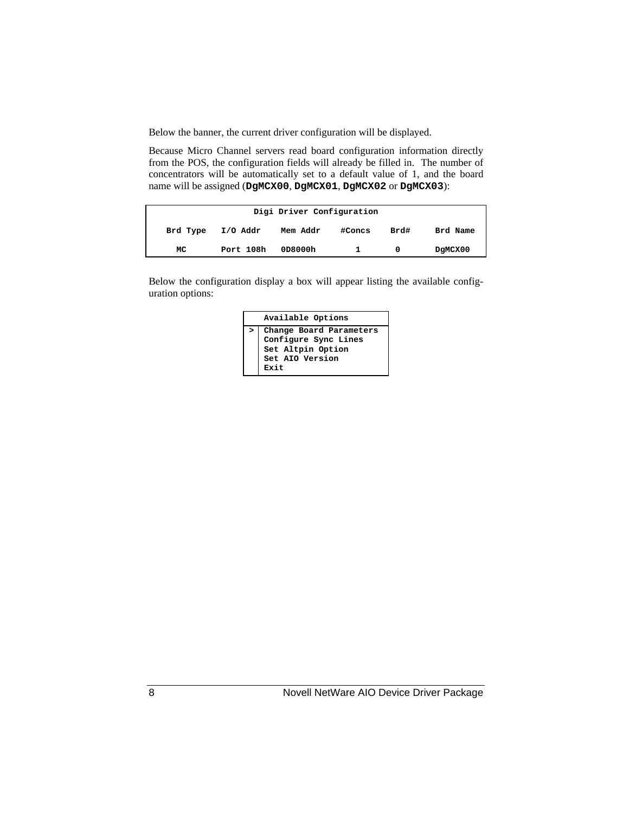Below the banner, the current driver configuration will be displayed.

Because Micro Channel servers read board configuration information directly from the POS, the configuration fields will already be filled in. The number of concentrators will be automatically set to a default value of 1, and the board name will be assigned (**DgMCX00**, **DgMCX01**, **DgMCX02** or **DgMCX03**):

|          |           | Digi Driver Configuration |        |      |          |
|----------|-----------|---------------------------|--------|------|----------|
| Brd Type | I/O Addr  | Mem Addr                  | #Concs | Brd# | Brd Name |
| MC       | Port 108h | 0D8000h                   |        | 0    | DgMCX00  |

Below the configuration display a box will appear listing the available configuration options:

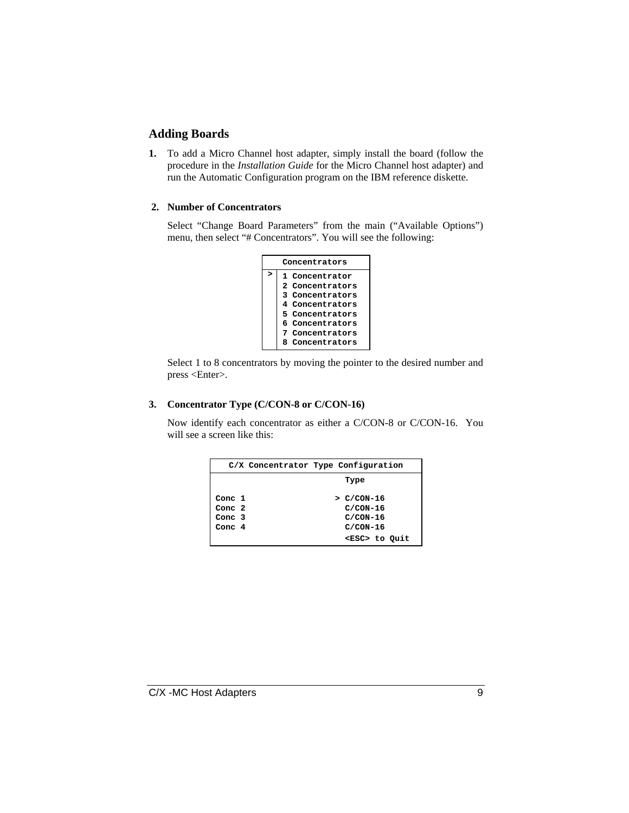#### **Adding Boards**

**1.** To add a Micro Channel host adapter, simply install the board (follow the procedure in the *Installation Guide* for the Micro Channel host adapter) and run the Automatic Configuration program on the IBM reference diskette.

#### **2. Number of Concentrators**

Select "Change Board Parameters" from the main ("Available Options") menu, then select "# Concentrators". You will see the following:



Select 1 to 8 concentrators by moving the pointer to the desired number and press <Enter>.

#### **3. Concentrator Type (C/CON-8 or C/CON-16)**

Now identify each concentrator as either a C/CON-8 or C/CON-16. You will see a screen like this:

|          |  | C/X Concentrator Type Configuration |  |
|----------|--|-------------------------------------|--|
|          |  | Type                                |  |
| Conc 1   |  | $>$ $C/CON-16$                      |  |
| Conc 2   |  | $C/CON-16$                          |  |
| Conc $3$ |  | $C/CON-16$                          |  |
| Conc $4$ |  | $C/CON-16$                          |  |
|          |  | <esc> to Quit</esc>                 |  |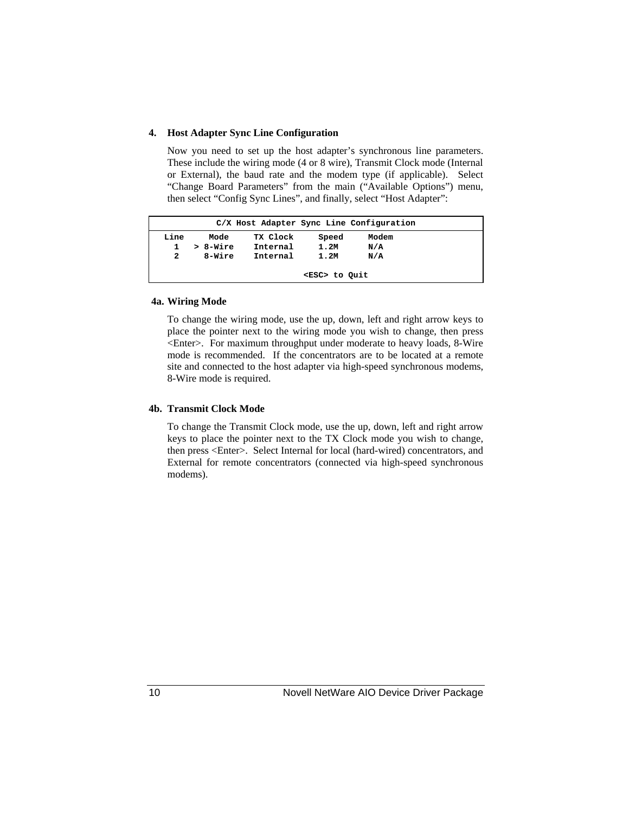#### **4. Host Adapter Sync Line Configuration**

Now you need to set up the host adapter's synchronous line parameters. These include the wiring mode (4 or 8 wire), Transmit Clock mode (Internal or External), the baud rate and the modem type (if applicable). Select "Change Board Parameters" from the main ("Available Options") menu, then select "Config Sync Lines", and finally, select "Host Adapter":

|      | C/X Host Adapter Sync Line Configuration |          |          |       |       |  |  |
|------|------------------------------------------|----------|----------|-------|-------|--|--|
| Line |                                          | Mode     | TX Clock | Speed | Modem |  |  |
| 1.   |                                          | > 8-Wire | Internal | 1.2M  | N/A   |  |  |
| 2    |                                          | 8-Wire   | Internal | 1.2M  | N/A   |  |  |
|      |                                          |          |          |       |       |  |  |
|      | <esc> to Ouit</esc>                      |          |          |       |       |  |  |

#### **4a. Wiring Mode**

To change the wiring mode, use the up, down, left and right arrow keys to place the pointer next to the wiring mode you wish to change, then press <Enter>. For maximum throughput under moderate to heavy loads, 8-Wire mode is recommended. If the concentrators are to be located at a remote site and connected to the host adapter via high-speed synchronous modems, 8-Wire mode is required.

#### **4b. Transmit Clock Mode**

To change the Transmit Clock mode, use the up, down, left and right arrow keys to place the pointer next to the TX Clock mode you wish to change, then press <Enter>. Select Internal for local (hard-wired) concentrators, and External for remote concentrators (connected via high-speed synchronous modems).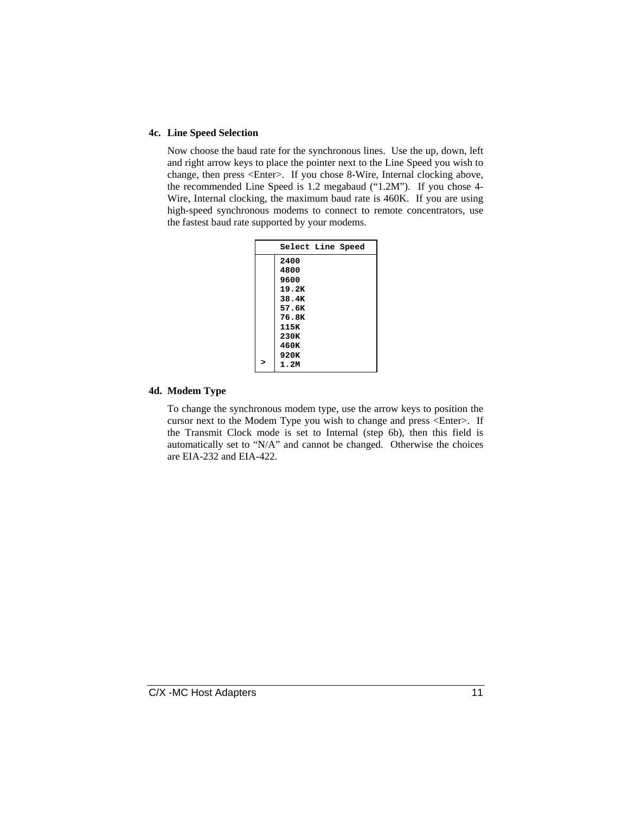#### **4c. Line Speed Selection**

Now choose the baud rate for the synchronous lines. Use the up, down, left and right arrow keys to place the pointer next to the Line Speed you wish to change, then press <Enter>. If you chose 8-Wire, Internal clocking above, the recommended Line Speed is 1.2 megabaud ("1.2M"). If you chose 4- Wire, Internal clocking, the maximum baud rate is 460K. If you are using high-speed synchronous modems to connect to remote concentrators, use the fastest baud rate supported by your modems.

| Select Line Speed |  |
|-------------------|--|
| 2400              |  |
| 4800              |  |
| 9600              |  |
| 19.2K             |  |
| 38.4K             |  |
| 57.6K             |  |
| 76.8K             |  |
| 115K              |  |
| 230K              |  |
| 460K              |  |
| 920K              |  |
| 1.2M              |  |

#### **4d. Modem Type**

To change the synchronous modem type, use the arrow keys to position the cursor next to the Modem Type you wish to change and press <Enter>. If the Transmit Clock mode is set to Internal (step 6b), then this field is automatically set to "N/A" and cannot be changed. Otherwise the choices are EIA-232 and EIA-422.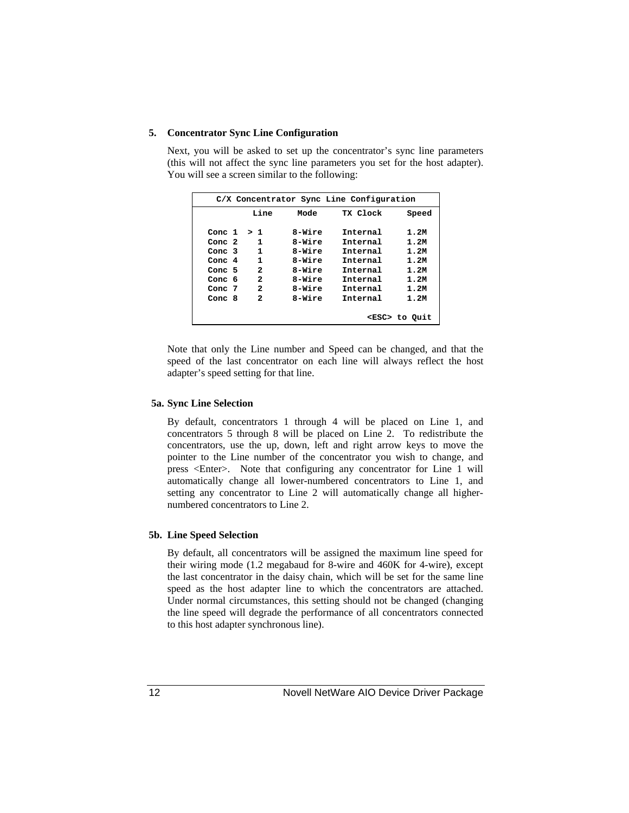#### **5. Concentrator Sync Line Configuration**

Next, you will be asked to set up the concentrator's sync line parameters (this will not affect the sync line parameters you set for the host adapter). You will see a screen similar to the following:

| C/X Concentrator Sync Line Configuration |              |        |          |                     |
|------------------------------------------|--------------|--------|----------|---------------------|
|                                          | Line         | Mode   | TX Clock | Speed               |
| Conc 1                                   | > 1          | 8-Wire | Internal | 1.2M                |
| Conc 2                                   | 1            | 8-Wire | Tnternal | 1.2M                |
| Conc 3                                   | 1            | 8-Wire | Internal | 1.2M                |
| Conc 4                                   | 1            | 8-Wire | Internal | 1.2M                |
| Conc 5                                   | 2            | 8-Wire | Tnternal | 1.2M                |
| Conc 6                                   | 2            | 8-Wire | Internal | 1.2M                |
| Conc 7                                   | $\mathbf{z}$ | 8-Wire | Internal | 1.2M                |
| Conc 8                                   | 2            | 8-Wire | Tnternal | 1.2M                |
|                                          |              |        |          |                     |
|                                          |              |        |          | <esc> to Quit</esc> |

Note that only the Line number and Speed can be changed, and that the speed of the last concentrator on each line will always reflect the host adapter's speed setting for that line.

#### **5a. Sync Line Selection**

By default, concentrators 1 through 4 will be placed on Line 1, and concentrators 5 through 8 will be placed on Line 2. To redistribute the concentrators, use the up, down, left and right arrow keys to move the pointer to the Line number of the concentrator you wish to change, and press <Enter>. Note that configuring any concentrator for Line 1 will automatically change all lower-numbered concentrators to Line 1, and setting any concentrator to Line 2 will automatically change all highernumbered concentrators to Line 2.

#### **5b. Line Speed Selection**

By default, all concentrators will be assigned the maximum line speed for their wiring mode (1.2 megabaud for 8-wire and 460K for 4-wire), except the last concentrator in the daisy chain, which will be set for the same line speed as the host adapter line to which the concentrators are attached. Under normal circumstances, this setting should not be changed (changing the line speed will degrade the performance of all concentrators connected to this host adapter synchronous line).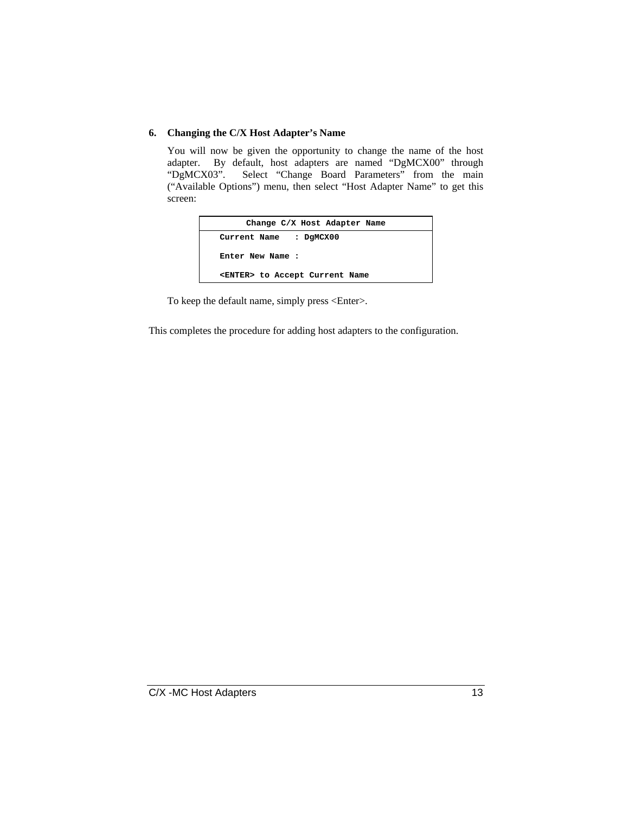#### **6. Changing the C/X Host Adapter's Name**

You will now be given the opportunity to change the name of the host adapter. By default, host adapters are named "DgMCX00" through "DgMCX03". Select "Change Board Parameters" from the main ("Available Options") menu, then select "Host Adapter Name" to get this screen:

| Change C/X Host Adapter Name           |
|----------------------------------------|
| Current Name : DGMCX00                 |
| Enter New Name:                        |
| <enter> to Accept Current Name</enter> |

To keep the default name, simply press <Enter>.

This completes the procedure for adding host adapters to the configuration.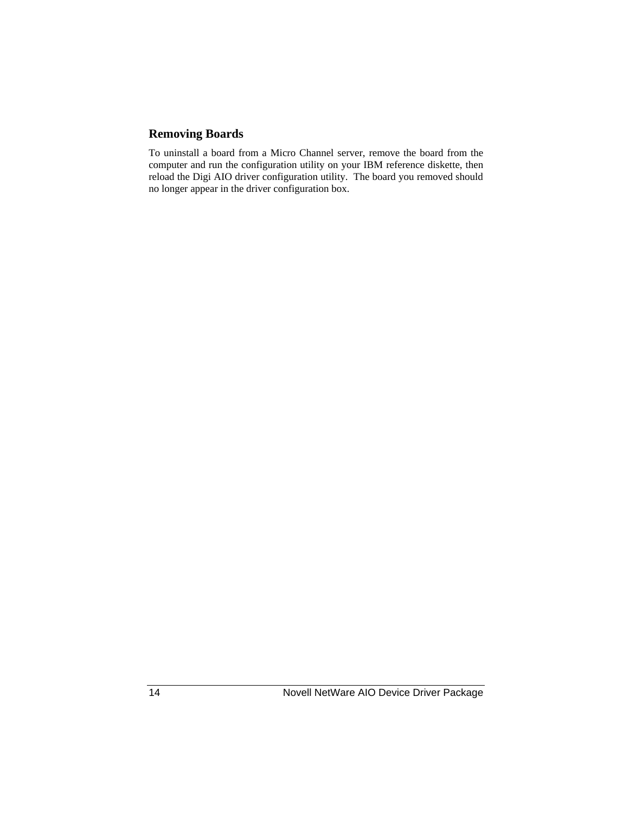### **Removing Boards**

To uninstall a board from a Micro Channel server, remove the board from the computer and run the configuration utility on your IBM reference diskette, then reload the Digi AIO driver configuration utility. The board you removed should no longer appear in the driver configuration box.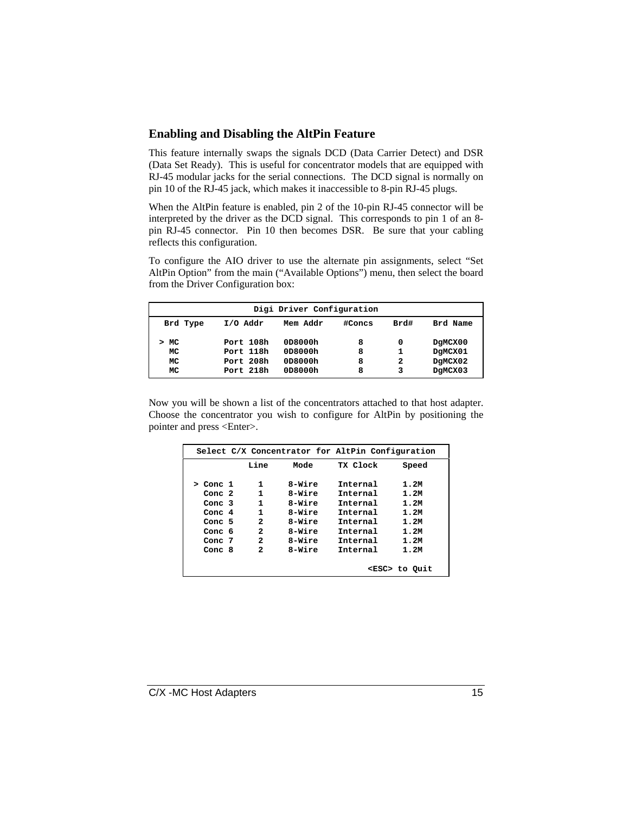#### **Enabling and Disabling the AltPin Feature**

This feature internally swaps the signals DCD (Data Carrier Detect) and DSR (Data Set Ready). This is useful for concentrator models that are equipped with RJ-45 modular jacks for the serial connections. The DCD signal is normally on pin 10 of the RJ-45 jack, which makes it inaccessible to 8-pin RJ-45 plugs.

When the AltPin feature is enabled, pin 2 of the 10-pin RJ-45 connector will be interpreted by the driver as the DCD signal. This corresponds to pin 1 of an 8 pin RJ-45 connector. Pin 10 then becomes DSR. Be sure that your cabling reflects this configuration.

To configure the AIO driver to use the alternate pin assignments, select "Set AltPin Option" from the main ("Available Options") menu, then select the board from the Driver Configuration box:

| Digi Driver Configuration |           |          |        |      |          |
|---------------------------|-----------|----------|--------|------|----------|
| Brd Type                  | I/O Addr  | Mem Addr | #Concs | Brd# | Brd Name |
| MC                        | Port 108h | 0D8000h  | 8      | 0    | DgMCX00  |
| MC                        | Port 118h | 0D8000h  | 8      |      | DgMCX01  |
| MC                        | Port 208h | 0D8000h  | 8      | 2    | DqMCX02  |
| MC                        | Port 218h | 0D8000h  | 8      | 3    | DgMCX03  |

Now you will be shown a list of the concentrators attached to that host adapter. Choose the concentrator you wish to configure for AltPin by positioning the pointer and press <Enter>.

| Select C/X Concentrator for AltPin Configuration |  |      |        |          |                     |
|--------------------------------------------------|--|------|--------|----------|---------------------|
|                                                  |  | Line | Mode   | TX Clock | Speed               |
| Conc 1<br>>                                      |  | 1    | 8-Wire | Internal | 1.2M                |
| Conc 2                                           |  | 1    | 8-Wire | Internal | 1.2M                |
| Conc 3                                           |  | 1    | 8-Wire | Internal | 1.2M                |
| Conc 4                                           |  | 1    | 8-Wire | Internal | 1.2M                |
| Conc 5                                           |  | 2    | 8-Wire | Internal | 1.2M                |
| Conc 6                                           |  | 2    | 8-Wire | Internal | 1.2M                |
| Conc 7                                           |  | 2    | 8-Wire | Internal | 1.2M                |
| Conc $8$                                         |  | 2    | 8-Wire | Internal | 1.2M                |
|                                                  |  |      |        |          |                     |
|                                                  |  |      |        |          | <esc> to Quit</esc> |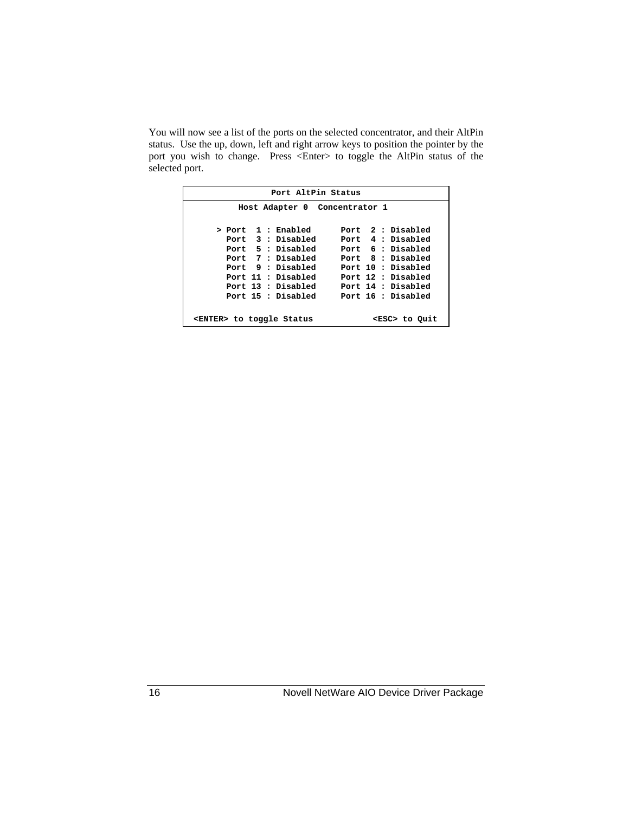You will now see a list of the ports on the selected concentrator, and their AltPin status. Use the up, down, left and right arrow keys to position the pointer by the port you wish to change. Press <Enter> to toggle the AltPin status of the selected port.

| Port AltPin Status |                                                          |  |                    |  |  |  |                    |
|--------------------|----------------------------------------------------------|--|--------------------|--|--|--|--------------------|
|                    | Host Adapter 0 Concentrator 1                            |  |                    |  |  |  |                    |
|                    |                                                          |  |                    |  |  |  |                    |
|                    |                                                          |  | > Port 1 : Enabled |  |  |  | Port 2: Disabled   |
|                    |                                                          |  | Port 3 : Disabled  |  |  |  | Port 4 : Disabled  |
|                    |                                                          |  | Port 5 : Disabled  |  |  |  | Port 6 : Disabled  |
|                    |                                                          |  | Port 7 : Disabled  |  |  |  | Port 8 : Disabled  |
|                    |                                                          |  | Port 9 : Disabled  |  |  |  | Port 10 : Disabled |
|                    |                                                          |  | Port 11 : Disabled |  |  |  | Port 12 : Disabled |
|                    |                                                          |  | Port 13 : Disabled |  |  |  | Port 14 : Disabled |
|                    |                                                          |  | Port 15 : Disabled |  |  |  | Port 16 : Disabled |
|                    |                                                          |  |                    |  |  |  |                    |
|                    | <enter> to toggle Status<br/><esc> to Quit</esc></enter> |  |                    |  |  |  |                    |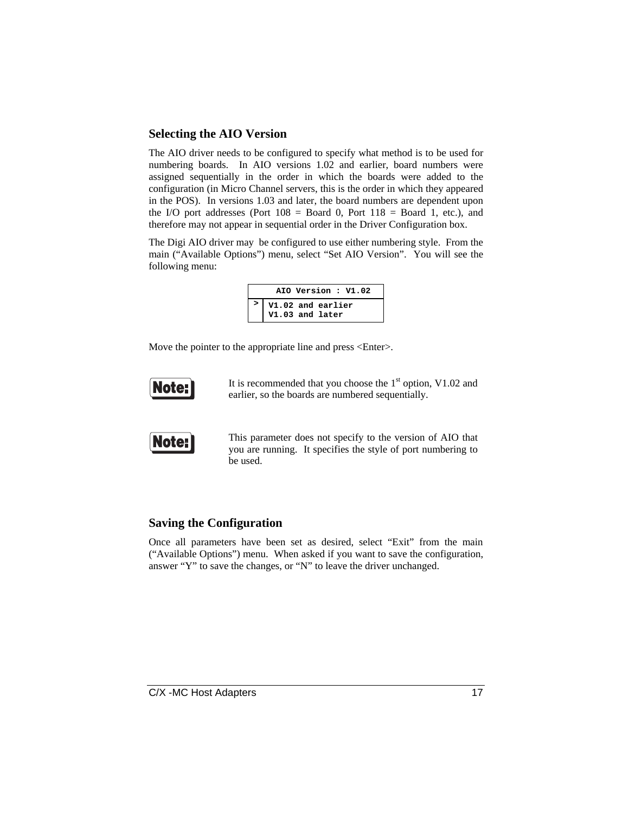#### **Selecting the AIO Version**

The AIO driver needs to be configured to specify what method is to be used for numbering boards. In AIO versions 1.02 and earlier, board numbers were assigned sequentially in the order in which the boards were added to the configuration (in Micro Channel servers, this is the order in which they appeared in the POS). In versions 1.03 and later, the board numbers are dependent upon the I/O port addresses (Port  $108 =$  Board 0, Port  $118 =$  Board 1, etc.), and therefore may not appear in sequential order in the Driver Configuration box.

The Digi AIO driver may be configured to use either numbering style. From the main ("Available Options") menu, select "Set AIO Version". You will see the following menu:

| AIO Version: V1.02                   |
|--------------------------------------|
| V1.02 and earlier<br>V1.03 and later |
|                                      |

Move the pointer to the appropriate line and press <Enter>.



It is recommended that you choose the  $1<sup>st</sup>$  option, V1.02 and earlier, so the boards are numbered sequentially.



This parameter does not specify to the version of AIO that you are running. It specifies the style of port numbering to be used.

#### **Saving the Configuration**

Once all parameters have been set as desired, select "Exit" from the main ("Available Options") menu. When asked if you want to save the configuration, answer "Y" to save the changes, or "N" to leave the driver unchanged.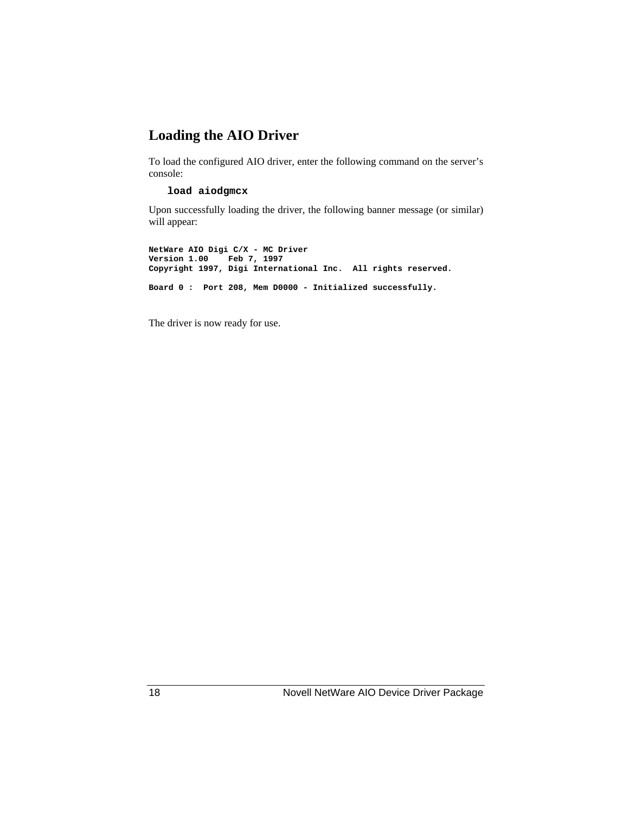### **Loading the AIO Driver**

To load the configured AIO driver, enter the following command on the server's console:

#### **load aiodgmcx**

Upon successfully loading the driver, the following banner message (or similar) will appear:

**NetWare AIO Digi C/X - MC Driver Version 1.00 Feb 7, 1997 Copyright 1997, Digi International Inc. All rights reserved. Board 0 : Port 208, Mem D0000 - Initialized successfully.**

The driver is now ready for use.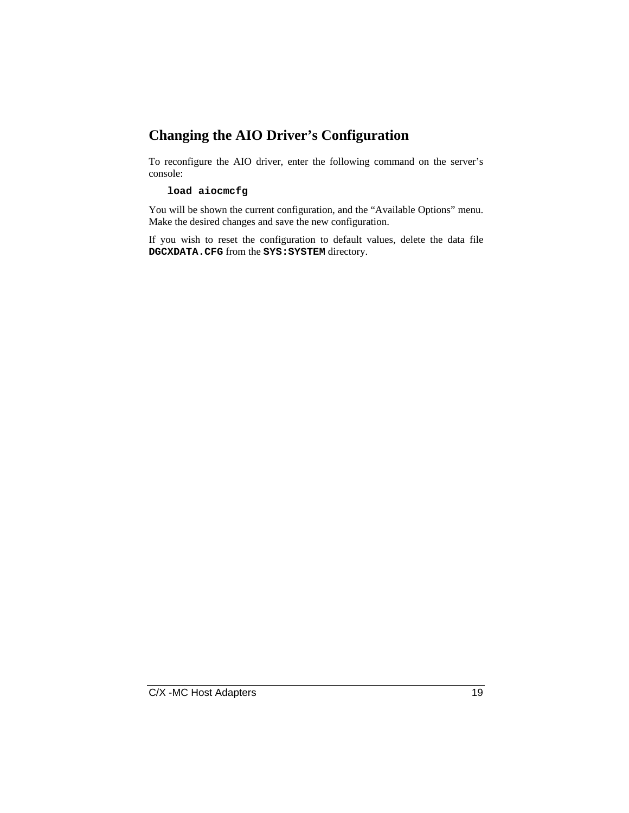### **Changing the AIO Driver's Configuration**

To reconfigure the AIO driver, enter the following command on the server's console:

#### **load aiocmcfg**

You will be shown the current configuration, and the "Available Options" menu. Make the desired changes and save the new configuration.

If you wish to reset the configuration to default values, delete the data file **DGCXDATA.CFG** from the **SYS:SYSTEM** directory.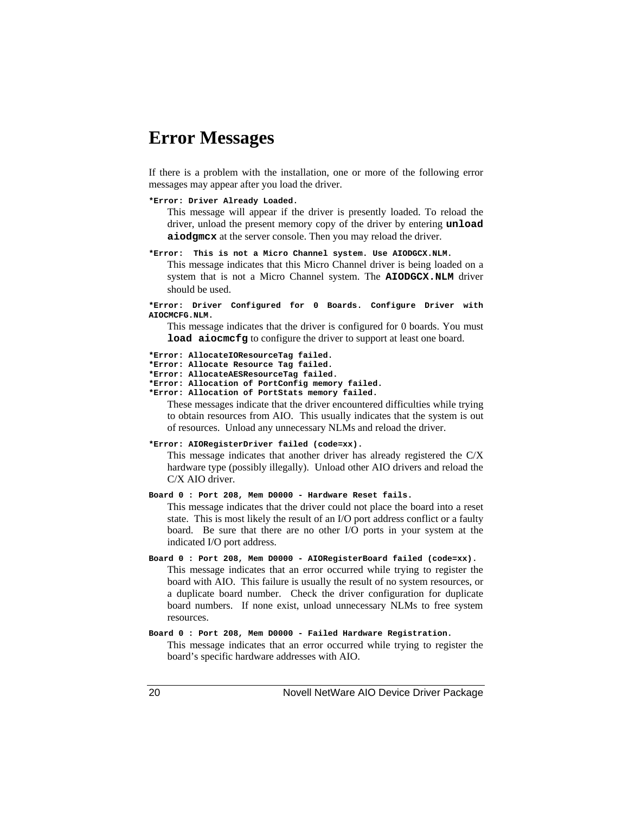### **Error Messages**

If there is a problem with the installation, one or more of the following error messages may appear after you load the driver.

#### **\*Error: Driver Already Loaded.**

This message will appear if the driver is presently loaded. To reload the driver, unload the present memory copy of the driver by entering **unload aiodgmcx** at the server console. Then you may reload the driver.

**\*Error: This is not a Micro Channel system. Use AIODGCX.NLM.**

This message indicates that this Micro Channel driver is being loaded on a system that is not a Micro Channel system. The **AIODGCX.NLM** driver should be used.

#### **\*Error: Driver Configured for 0 Boards. Configure Driver with AIOCMCFG.NLM.**

This message indicates that the driver is configured for 0 boards. You must **load aiocmcfg** to configure the driver to support at least one board.

```
*Error: AllocateIOResourceTag failed.
```
- **\*Error: Allocate Resource Tag failed.**
- **\*Error: AllocateAESResourceTag failed.**
- **\*Error: Allocation of PortConfig memory failed. \*Error: Allocation of PortStats memory failed.**

These messages indicate that the driver encountered difficulties while trying to obtain resources from AIO. This usually indicates that the system is out of resources. Unload any unnecessary NLMs and reload the driver.

#### **\*Error: AIORegisterDriver failed (code=xx).**

This message indicates that another driver has already registered the C/X hardware type (possibly illegally). Unload other AIO drivers and reload the C/X AIO driver.

**Board 0 : Port 208, Mem D0000 - Hardware Reset fails.**

This message indicates that the driver could not place the board into a reset state. This is most likely the result of an I/O port address conflict or a faulty board. Be sure that there are no other I/O ports in your system at the indicated I/O port address.

- **Board 0 : Port 208, Mem D0000 AIORegisterBoard failed (code=xx).** This message indicates that an error occurred while trying to register the board with AIO. This failure is usually the result of no system resources, or a duplicate board number. Check the driver configuration for duplicate board numbers. If none exist, unload unnecessary NLMs to free system resources.
- **Board 0 : Port 208, Mem D0000 Failed Hardware Registration.** This message indicates that an error occurred while trying to register the

board's specific hardware addresses with AIO.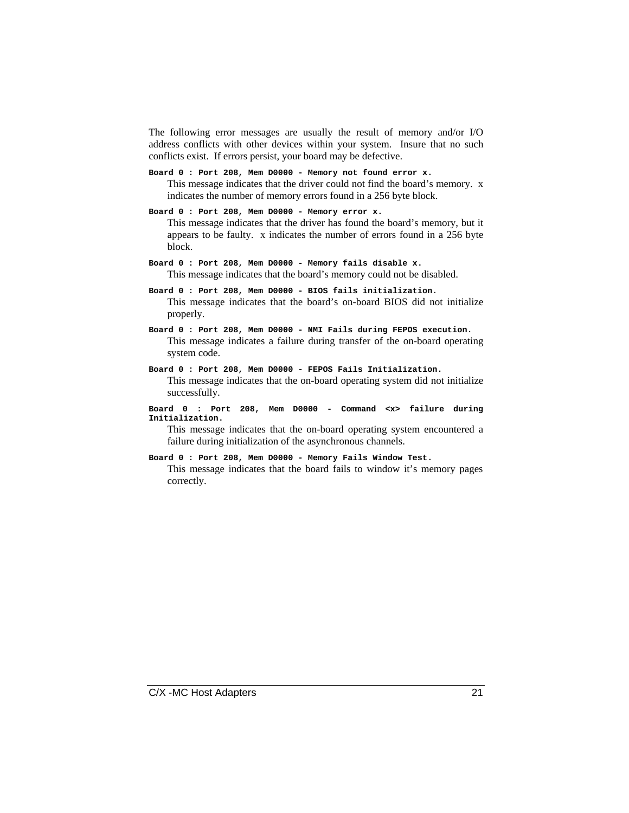The following error messages are usually the result of memory and/or I/O address conflicts with other devices within your system. Insure that no such conflicts exist. If errors persist, your board may be defective.

- **Board 0 : Port 208, Mem D0000 Memory not found error x.** This message indicates that the driver could not find the board's memory. x indicates the number of memory errors found in a 256 byte block.
- **Board 0 : Port 208, Mem D0000 Memory error x.** This message indicates that the driver has found the board's memory, but it appears to be faulty. x indicates the number of errors found in a 256 byte block.
- **Board 0 : Port 208, Mem D0000 Memory fails disable x.** This message indicates that the board's memory could not be disabled.
- **Board 0 : Port 208, Mem D0000 BIOS fails initialization.** This message indicates that the board's on-board BIOS did not initialize properly.
- **Board 0 : Port 208, Mem D0000 NMI Fails during FEPOS execution.** This message indicates a failure during transfer of the on-board operating system code.
- **Board 0 : Port 208, Mem D0000 FEPOS Fails Initialization.** This message indicates that the on-board operating system did not initialize successfully.
- **Board 0 : Port 208, Mem D0000 Command <x> failure during Initialization.**

This message indicates that the on-board operating system encountered a failure during initialization of the asynchronous channels.

- **Board 0 : Port 208, Mem D0000 Memory Fails Window Test.**
	- This message indicates that the board fails to window it's memory pages correctly.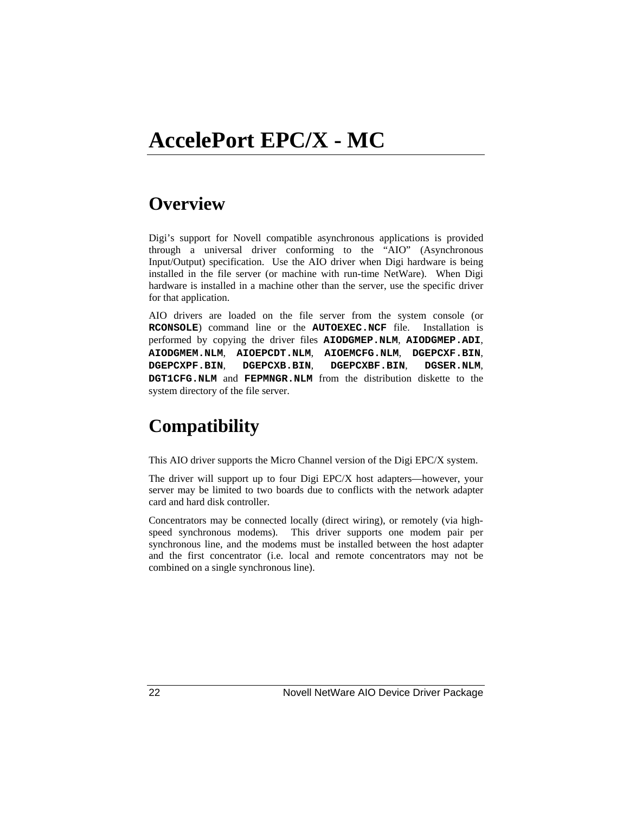# **Overview**

Digi's support for Novell compatible asynchronous applications is provided through a universal driver conforming to the "AIO" (Asynchronous Input/Output) specification. Use the AIO driver when Digi hardware is being installed in the file server (or machine with run-time NetWare). When Digi hardware is installed in a machine other than the server, use the specific driver for that application.

AIO drivers are loaded on the file server from the system console (or **RCONSOLE**) command line or the **AUTOEXEC.NCF** file. Installation is performed by copying the driver files **AIODGMEP.NLM**, **AIODGMEP.ADI**, **AIODGMEM.NLM**, **AIOEPCDT.NLM**, **AIOEMCFG.NLM**, **DGEPCXF.BIN**, **DGEPCXPF.BIN**, **DGEPCXB.BIN**, **DGEPCXBF.BIN**, **DGSER.NLM**, **DGT1CFG.NLM** and **FEPMNGR.NLM** from the distribution diskette to the system directory of the file server.

# **Compatibility**

This AIO driver supports the Micro Channel version of the Digi EPC/X system.

The driver will support up to four Digi EPC/X host adapters—however, your server may be limited to two boards due to conflicts with the network adapter card and hard disk controller.

Concentrators may be connected locally (direct wiring), or remotely (via highspeed synchronous modems). This driver supports one modem pair per synchronous line, and the modems must be installed between the host adapter and the first concentrator (i.e. local and remote concentrators may not be combined on a single synchronous line).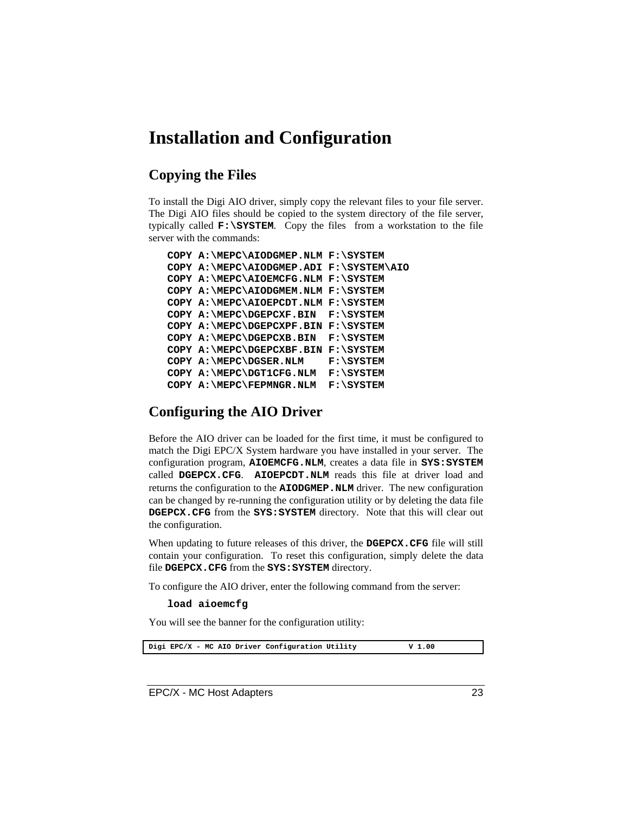### **Installation and Configuration**

### **Copying the Files**

To install the Digi AIO driver, simply copy the relevant files to your file server. The Digi AIO files should be copied to the system directory of the file server, typically called **F:\SYSTEM**. Copy the files from a workstation to the file server with the commands:

```
COPY A:\MEPC\AIODGMEP.NLM F:\SYSTEM
COPY A:\MEPC\AIODGMEP.ADI F:\SYSTEM\AIO
COPY A:\MEPC\AIOEMCFG.NLM F:\SYSTEM
COPY A:\MEPC\AIODGMEM.NLM F:\SYSTEM
COPY A:\MEPC\AIOEPCDT.NLM F:\SYSTEM
COPY A:\MEPC\DGEPCXF.BIN F:\SYSTEM
COPY A:\MEPC\DGEPCXPF.BIN F:\SYSTEM
COPY A:\MEPC\DGEPCXB.BIN F:\SYSTEM
COPY A:\MEPC\DGEPCXBF.BIN F:\SYSTEM
COPY A:\MEPC\DGSER.NLM F:\SYSTEM
COPY A:\MEPC\DGT1CFG.NLM F:\SYSTEM
COPY A:\MEPC\FEPMNGR.NLM F:\SYSTEM
```
### **Configuring the AIO Driver**

Before the AIO driver can be loaded for the first time, it must be configured to match the Digi EPC/X System hardware you have installed in your server. The configuration program, **AIOEMCFG.NLM**, creates a data file in **SYS:SYSTEM** called **DGEPCX.CFG**. **AIOEPCDT.NLM** reads this file at driver load and returns the configuration to the **AIODGMEP.NLM** driver. The new configuration can be changed by re-running the configuration utility or by deleting the data file **DGEPCX.CFG** from the **SYS:SYSTEM** directory. Note that this will clear out the configuration.

When updating to future releases of this driver, the **DGEPCX.CFG** file will still contain your configuration. To reset this configuration, simply delete the data file **DGEPCX.CFG** from the **SYS:SYSTEM** directory.

To configure the AIO driver, enter the following command from the server:

#### **load aioemcfg**

You will see the banner for the configuration utility:

Digi EPC/X - MC AIO Driver Configuration Utility **V** 1.00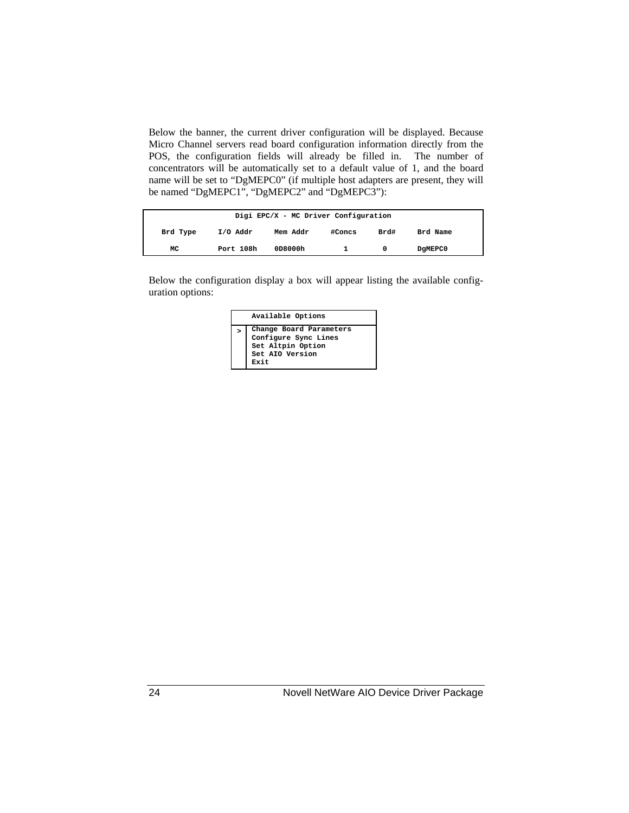Below the banner, the current driver configuration will be displayed. Because Micro Channel servers read board configuration information directly from the POS, the configuration fields will already be filled in. The number of concentrators will be automatically set to a default value of 1, and the board name will be set to "DgMEPC0" (if multiple host adapters are present, they will be named "DgMEPC1", "DgMEPC2" and "DgMEPC3"):

|          |           | Digi EPC/X - MC Driver Configuration |        |      |          |
|----------|-----------|--------------------------------------|--------|------|----------|
| Brd Type | I/O Addr  | Mem Addr                             | #Concs | Brd# | Brd Name |
| МC       | Port 108h | 0D8000h                              |        |      | DgMEPC0  |

Below the configuration display a box will appear listing the available configuration options:

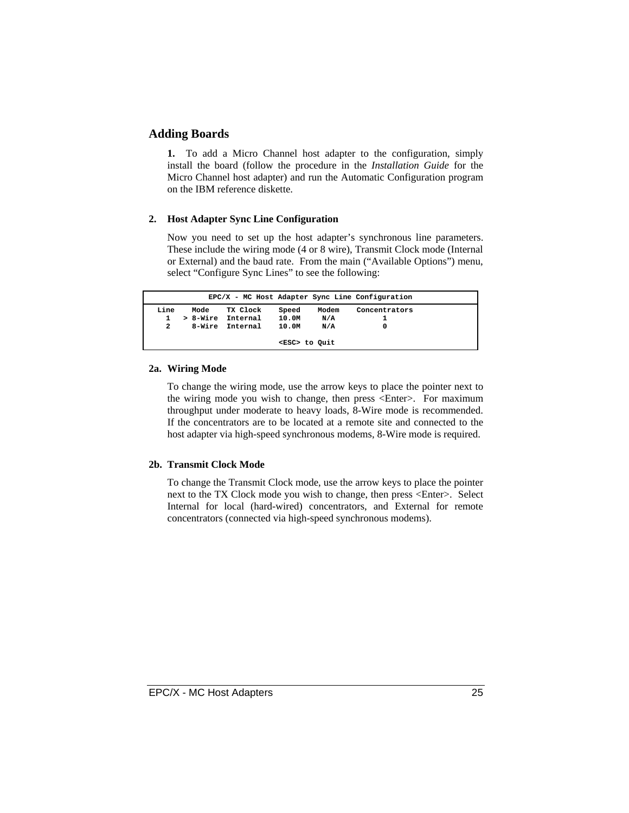#### **Adding Boards**

**1.** To add a Micro Channel host adapter to the configuration, simply install the board (follow the procedure in the *Installation Guide* for the Micro Channel host adapter) and run the Automatic Configuration program on the IBM reference diskette.

#### **2. Host Adapter Sync Line Configuration**

Now you need to set up the host adapter's synchronous line parameters. These include the wiring mode (4 or 8 wire), Transmit Clock mode (Internal or External) and the baud rate. From the main ("Available Options") menu, select "Configure Sync Lines" to see the following:

|                |          |          |                     |       | EPC/X - MC Host Adapter Sync Line Configuration |  |
|----------------|----------|----------|---------------------|-------|-------------------------------------------------|--|
| Line           | Mode     | TX Clock | Speed               | Modem | Concentrators                                   |  |
| 1.             | > 8-Wire | Internal | 10.0M               | N/A   |                                                 |  |
| $\overline{2}$ | 8-Wire   | Internal | 10.0M               | N/A   |                                                 |  |
|                |          |          | <esc> to Quit</esc> |       |                                                 |  |

#### **2a. Wiring Mode**

To change the wiring mode, use the arrow keys to place the pointer next to the wiring mode you wish to change, then press <Enter>. For maximum throughput under moderate to heavy loads, 8-Wire mode is recommended. If the concentrators are to be located at a remote site and connected to the host adapter via high-speed synchronous modems, 8-Wire mode is required.

#### **2b. Transmit Clock Mode**

To change the Transmit Clock mode, use the arrow keys to place the pointer next to the TX Clock mode you wish to change, then press <Enter>. Select Internal for local (hard-wired) concentrators, and External for remote concentrators (connected via high-speed synchronous modems).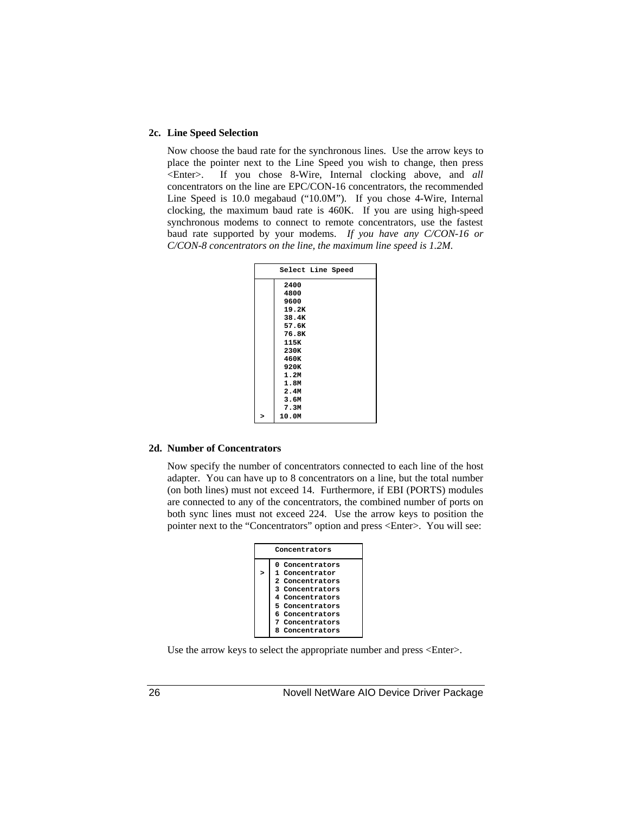#### **2c. Line Speed Selection**

Now choose the baud rate for the synchronous lines. Use the arrow keys to place the pointer next to the Line Speed you wish to change, then press <Enter>. If you chose 8-Wire, Internal clocking above, and *all* concentrators on the line are EPC/CON-16 concentrators, the recommended Line Speed is 10.0 megabaud ("10.0M"). If you chose 4-Wire, Internal clocking, the maximum baud rate is 460K. If you are using high-speed synchronous modems to connect to remote concentrators, use the fastest baud rate supported by your modems. *If you have any C/CON-16 or C/CON-8 concentrators on the line, the maximum line speed is 1.2M.*

| Select Line Speed |  |  |
|-------------------|--|--|
| 2400              |  |  |
| 4800              |  |  |
| 9600              |  |  |
| 19.2K             |  |  |
| 38.4K             |  |  |
| 57.6K             |  |  |
| 76.8K             |  |  |
| 115K              |  |  |
| 230K              |  |  |
| 460K              |  |  |
| 920K              |  |  |
| 1.2M              |  |  |
| 1.8M              |  |  |
| 2.4M              |  |  |
| 3.6M              |  |  |
| 7.3M              |  |  |
| 10.0M             |  |  |

#### **2d. Number of Concentrators**

Now specify the number of concentrators connected to each line of the host adapter. You can have up to 8 concentrators on a line, but the total number (on both lines) must not exceed 14. Furthermore, if EBI (PORTS) modules are connected to any of the concentrators, the combined number of ports on both sync lines must not exceed 224. Use the arrow keys to position the pointer next to the "Concentrators" option and press <Enter>. You will see:

|              | Concentrators   |  |  |  |  |  |
|--------------|-----------------|--|--|--|--|--|
|              | 0 Concentrators |  |  |  |  |  |
| $\mathbf{r}$ | 1 Concentrator  |  |  |  |  |  |
|              | 2 Concentrators |  |  |  |  |  |
|              | 3 Concentrators |  |  |  |  |  |
|              | 4 Concentrators |  |  |  |  |  |
|              | 5 Concentrators |  |  |  |  |  |
|              | 6 Concentrators |  |  |  |  |  |
|              | 7 Concentrators |  |  |  |  |  |
|              | 8 Concentrators |  |  |  |  |  |

Use the arrow keys to select the appropriate number and press <Enter>.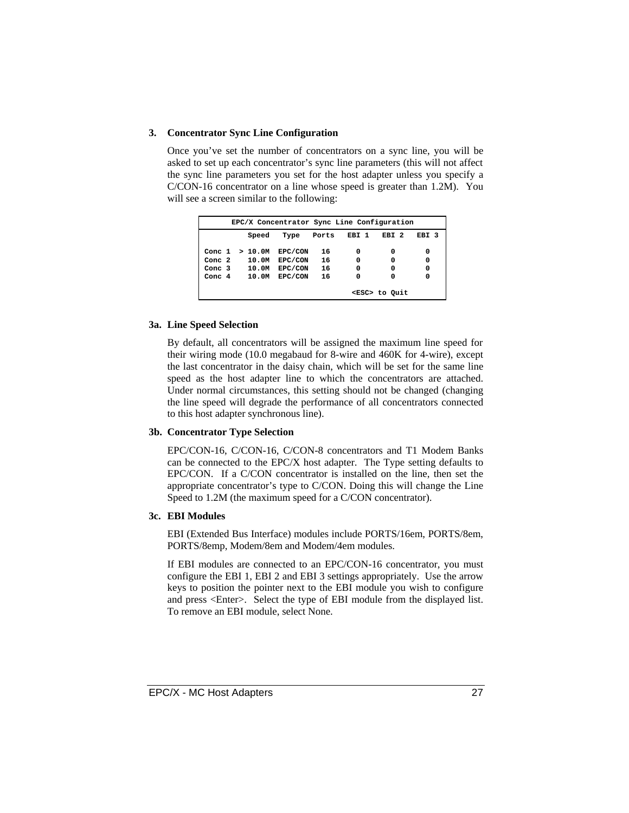#### **3. Concentrator Sync Line Configuration**

Once you've set the number of concentrators on a sync line, you will be asked to set up each concentrator's sync line parameters (this will not affect the sync line parameters you set for the host adapter unless you specify a C/CON-16 concentrator on a line whose speed is greater than 1.2M). You will see a screen similar to the following:

|           |        | EPC/X Concentrator Sync Line Configuration |       |       |                     |                  |
|-----------|--------|--------------------------------------------|-------|-------|---------------------|------------------|
|           | Speed  | Type                                       | Ports | EBI 1 | EBI <sub>2</sub>    | EBI <sub>3</sub> |
| Conc 1    | >10.0M | EPC/CON                                    | 16    | 0     | 0                   | 0                |
| Conc. $2$ | 10.OM  | EPC/CON                                    | 16    | 0     | 0                   | $\mathbf 0$      |
| Conc. $3$ | 10.0M  | EPC/CON                                    | 16    | 0     | 0                   | $\mathbf 0$      |
| Conc. $4$ | 10.0M  | EPC/CON                                    | 16    | 0     | 0                   | 0                |
|           |        |                                            |       |       | <esc> to Quit</esc> |                  |

#### **3a. Line Speed Selection**

By default, all concentrators will be assigned the maximum line speed for their wiring mode (10.0 megabaud for 8-wire and 460K for 4-wire), except the last concentrator in the daisy chain, which will be set for the same line speed as the host adapter line to which the concentrators are attached. Under normal circumstances, this setting should not be changed (changing the line speed will degrade the performance of all concentrators connected to this host adapter synchronous line).

#### **3b. Concentrator Type Selection**

EPC/CON-16, C/CON-16, C/CON-8 concentrators and T1 Modem Banks can be connected to the EPC/X host adapter. The Type setting defaults to EPC/CON. If a C/CON concentrator is installed on the line, then set the appropriate concentrator's type to C/CON. Doing this will change the Line Speed to 1.2M (the maximum speed for a C/CON concentrator).

#### **3c. EBI Modules**

EBI (Extended Bus Interface) modules include PORTS/16em, PORTS/8em, PORTS/8emp, Modem/8em and Modem/4em modules.

If EBI modules are connected to an EPC/CON-16 concentrator, you must configure the EBI 1, EBI 2 and EBI 3 settings appropriately. Use the arrow keys to position the pointer next to the EBI module you wish to configure and press <Enter>. Select the type of EBI module from the displayed list. To remove an EBI module, select None.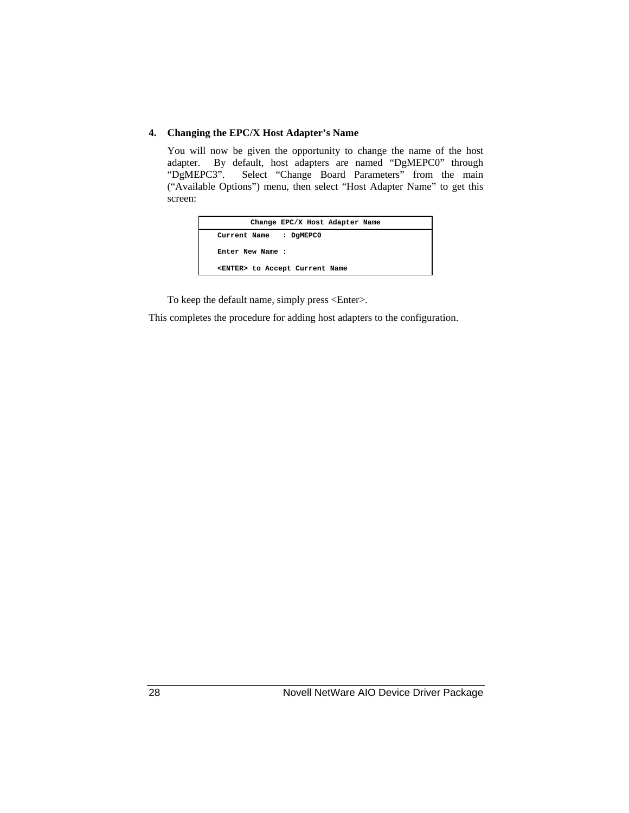#### **4. Changing the EPC/X Host Adapter's Name**

You will now be given the opportunity to change the name of the host adapter. By default, host adapters are named "DgMEPC0" through "DgMEPC3". Select "Change Board Parameters" from the main ("Available Options") menu, then select "Host Adapter Name" to get this screen:

| Change EPC/X Host Adapter Name         |
|----------------------------------------|
| : DGMEPC0<br>Current Name              |
| Enter New Name:                        |
| <enter> to Accept Current Name</enter> |

To keep the default name, simply press <Enter>.

This completes the procedure for adding host adapters to the configuration.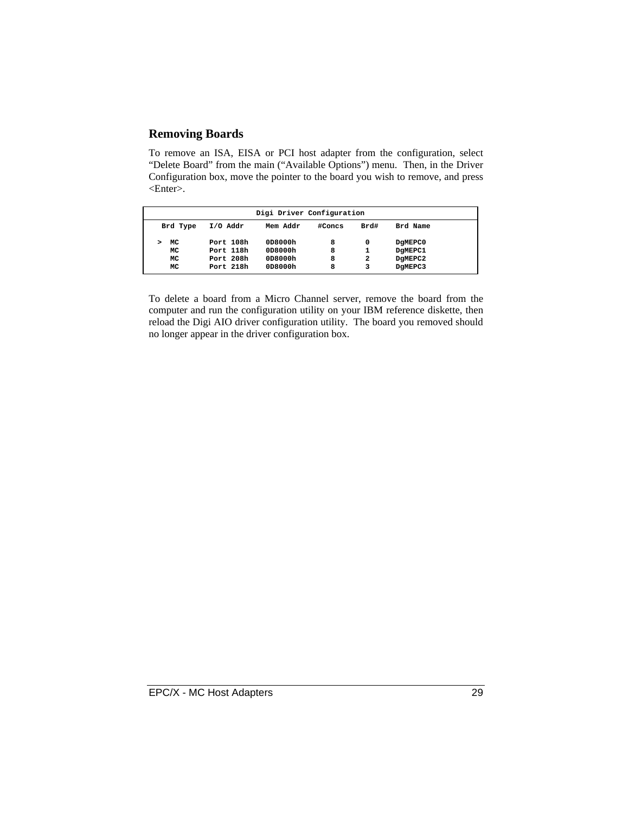### **Removing Boards**

To remove an ISA, EISA or PCI host adapter from the configuration, select "Delete Board" from the main ("Available Options") menu. Then, in the Driver Configuration box, move the pointer to the board you wish to remove, and press <Enter>.

|          |            | Digi Driver Configuration |        |      |          |  |
|----------|------------|---------------------------|--------|------|----------|--|
| Brd Type | $I/O$ Addr | Mem Addr                  | #Concs | Brd# | Brd Name |  |
| MC       | Port 108h  | 0D8000h                   | 8      | 0    | DGMEPC0  |  |
| MC       | Port 118h  | 0D8000h                   | 8      | 1    | DGMEPC1  |  |
| MC       | Port 208h  | 0D8000h                   | 8      | 2    | DGMEPC2  |  |
| MC       | Port 218h  | 0D8000h                   | 8      | 3    | DgMEPC3  |  |
|          |            |                           |        |      |          |  |

To delete a board from a Micro Channel server, remove the board from the computer and run the configuration utility on your IBM reference diskette, then reload the Digi AIO driver configuration utility. The board you removed should no longer appear in the driver configuration box.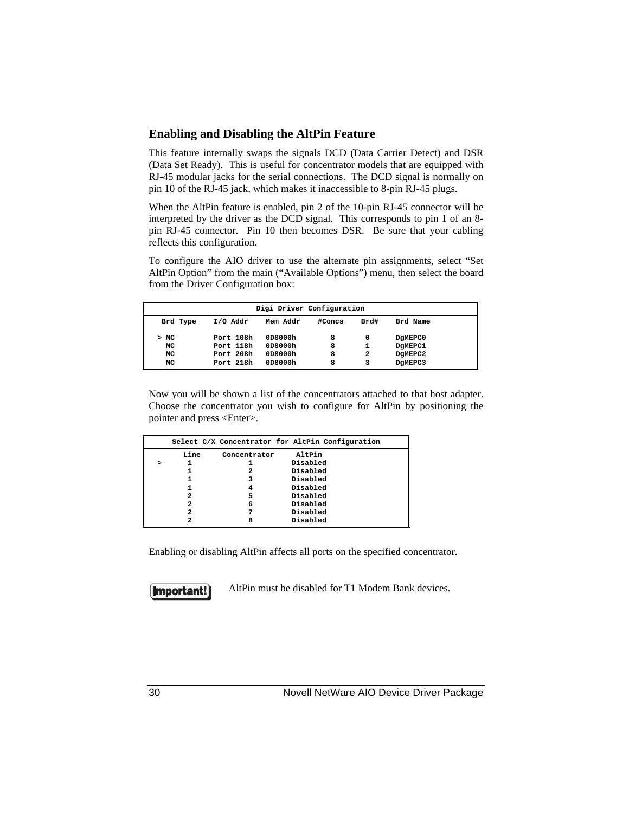#### **Enabling and Disabling the AltPin Feature**

This feature internally swaps the signals DCD (Data Carrier Detect) and DSR (Data Set Ready). This is useful for concentrator models that are equipped with RJ-45 modular jacks for the serial connections. The DCD signal is normally on pin 10 of the RJ-45 jack, which makes it inaccessible to 8-pin RJ-45 plugs.

When the AltPin feature is enabled, pin 2 of the 10-pin RJ-45 connector will be interpreted by the driver as the DCD signal. This corresponds to pin 1 of an 8 pin RJ-45 connector. Pin 10 then becomes DSR. Be sure that your cabling reflects this configuration.

To configure the AIO driver to use the alternate pin assignments, select "Set AltPin Option" from the main ("Available Options") menu, then select the board from the Driver Configuration box:

| Digi Driver Configuration |            |          |        |              |          |  |
|---------------------------|------------|----------|--------|--------------|----------|--|
| Brd Type                  | $I/O$ Addr | Mem Addr | #Concs | Brd#         | Brd Name |  |
| >MC                       | Port 108h  | 0D8000h  | 8      | 0            | DGMEPC0  |  |
| MC                        | Port 118h  | 0D8000h  | 8      | 1            | DGMEPC1  |  |
| МC                        | Port 208h  | 0D8000h  | 8      | $\mathbf{2}$ | DGMEPC2  |  |
| МC                        | Port 218h  | 0D8000h  | 8      | 3            | DgMEPC3  |  |

Now you will be shown a list of the concentrators attached to that host adapter. Choose the concentrator you wish to configure for AltPin by positioning the pointer and press <Enter>.

|  |      |              | Select C/X Concentrator for AltPin Configuration |  |
|--|------|--------------|--------------------------------------------------|--|
|  | Line | Concentrator | AltPin                                           |  |
|  |      |              | Disabled                                         |  |
|  |      | 2            | Disabled                                         |  |
|  |      | 3            | Disabled                                         |  |
|  |      | 4            | Disabled                                         |  |
|  | 2    | 5            | Disabled                                         |  |
|  | 2    | 6            | Disabled                                         |  |
|  | 2    |              | Disabled                                         |  |
|  | 2    | 8            | Disabled                                         |  |

Enabling or disabling AltPin affects all ports on the specified concentrator.

Important!

AltPin must be disabled for T1 Modem Bank devices.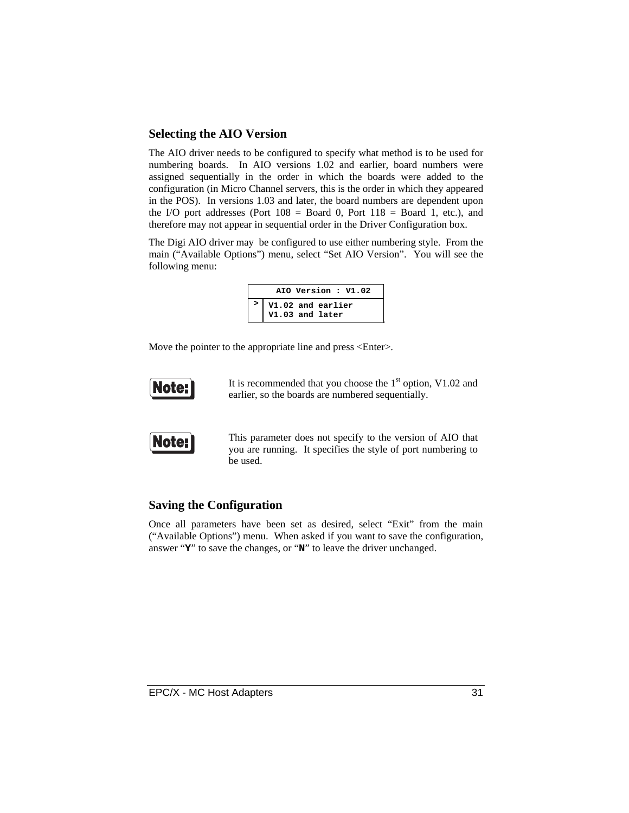#### **Selecting the AIO Version**

The AIO driver needs to be configured to specify what method is to be used for numbering boards. In AIO versions 1.02 and earlier, board numbers were assigned sequentially in the order in which the boards were added to the configuration (in Micro Channel servers, this is the order in which they appeared in the POS). In versions 1.03 and later, the board numbers are dependent upon the I/O port addresses (Port  $108 =$  Board 0, Port  $118 =$  Board 1, etc.), and therefore may not appear in sequential order in the Driver Configuration box.

The Digi AIO driver may be configured to use either numbering style. From the main ("Available Options") menu, select "Set AIO Version". You will see the following menu:

| AIO Version: V1.02                   |
|--------------------------------------|
| V1.02 and earlier<br>V1.03 and later |
|                                      |

Move the pointer to the appropriate line and press <Enter>.



It is recommended that you choose the  $1<sup>st</sup>$  option, V1.02 and earlier, so the boards are numbered sequentially.



This parameter does not specify to the version of AIO that you are running. It specifies the style of port numbering to be used.

#### **Saving the Configuration**

Once all parameters have been set as desired, select "Exit" from the main ("Available Options") menu. When asked if you want to save the configuration, answer "**Y**" to save the changes, or "**N**" to leave the driver unchanged.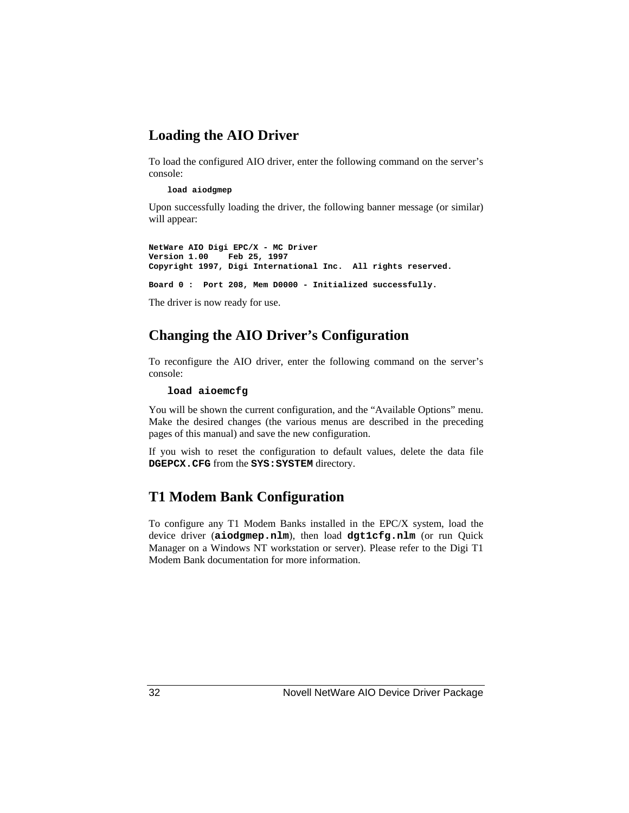### **Loading the AIO Driver**

To load the configured AIO driver, enter the following command on the server's console:

#### **load aiodgmep**

Upon successfully loading the driver, the following banner message (or similar) will appear:

```
NetWare AIO Digi EPC/X - MC Driver
Version 1.00 Feb 25, 1997
Copyright 1997, Digi International Inc. All rights reserved.
```
**Board 0 : Port 208, Mem D0000 - Initialized successfully.**

The driver is now ready for use.

### **Changing the AIO Driver's Configuration**

To reconfigure the AIO driver, enter the following command on the server's console:

#### **load aioemcfg**

You will be shown the current configuration, and the "Available Options" menu. Make the desired changes (the various menus are described in the preceding pages of this manual) and save the new configuration.

If you wish to reset the configuration to default values, delete the data file **DGEPCX.CFG** from the **SYS:SYSTEM** directory.

### **T1 Modem Bank Configuration**

To configure any T1 Modem Banks installed in the EPC/X system, load the device driver (**aiodgmep.nlm**), then load **dgt1cfg.nlm** (or run Quick Manager on a Windows NT workstation or server). Please refer to the Digi T1 Modem Bank documentation for more information.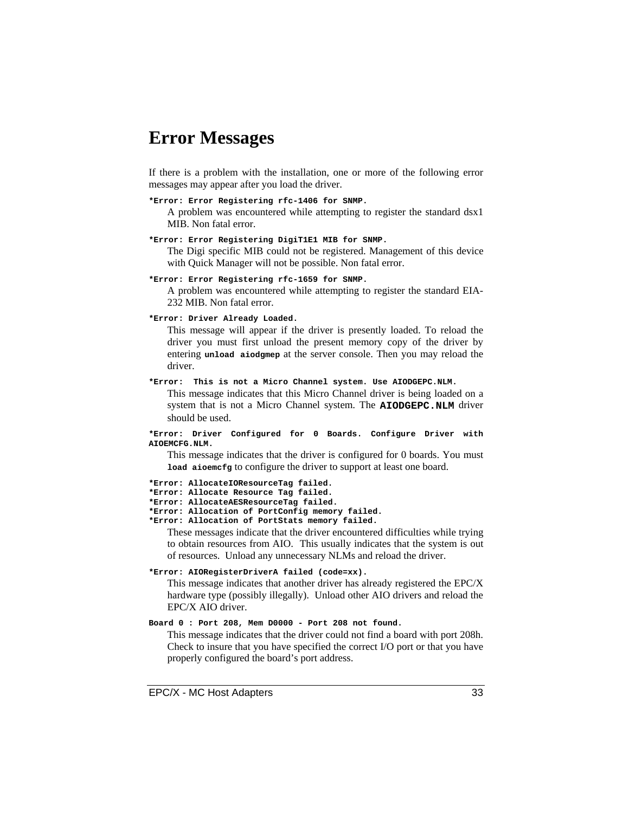### **Error Messages**

If there is a problem with the installation, one or more of the following error messages may appear after you load the driver.

#### **\*Error: Error Registering rfc-1406 for SNMP.**

A problem was encountered while attempting to register the standard dsx1 MIB. Non fatal error.

#### **\*Error: Error Registering DigiT1E1 MIB for SNMP.**

The Digi specific MIB could not be registered. Management of this device with Quick Manager will not be possible. Non fatal error.

#### **\*Error: Error Registering rfc-1659 for SNMP.**

A problem was encountered while attempting to register the standard EIA-232 MIB. Non fatal error.

#### **\*Error: Driver Already Loaded.**

This message will appear if the driver is presently loaded. To reload the driver you must first unload the present memory copy of the driver by entering **unload aiodgmep** at the server console. Then you may reload the driver.

#### **\*Error: This is not a Micro Channel system. Use AIODGEPC.NLM.**

This message indicates that this Micro Channel driver is being loaded on a system that is not a Micro Channel system. The **AIODGEPC.NLM** driver should be used.

**\*Error: Driver Configured for 0 Boards. Configure Driver with AIOEMCFG.NLM.**

This message indicates that the driver is configured for 0 boards. You must **load aioemcfg** to configure the driver to support at least one board.

**\*Error: AllocateIOResourceTag failed. \*Error: Allocate Resource Tag failed.**

**\*Error: AllocateAESResourceTag failed.**

**\*Error: Allocation of PortConfig memory failed.**

**\*Error: Allocation of PortStats memory failed.**

These messages indicate that the driver encountered difficulties while trying to obtain resources from AIO. This usually indicates that the system is out of resources. Unload any unnecessary NLMs and reload the driver.

#### **\*Error: AIORegisterDriverA failed (code=xx).**

This message indicates that another driver has already registered the EPC/X hardware type (possibly illegally). Unload other AIO drivers and reload the EPC/X AIO driver.

#### **Board 0 : Port 208, Mem D0000 - Port 208 not found.**

This message indicates that the driver could not find a board with port 208h. Check to insure that you have specified the correct I/O port or that you have properly configured the board's port address.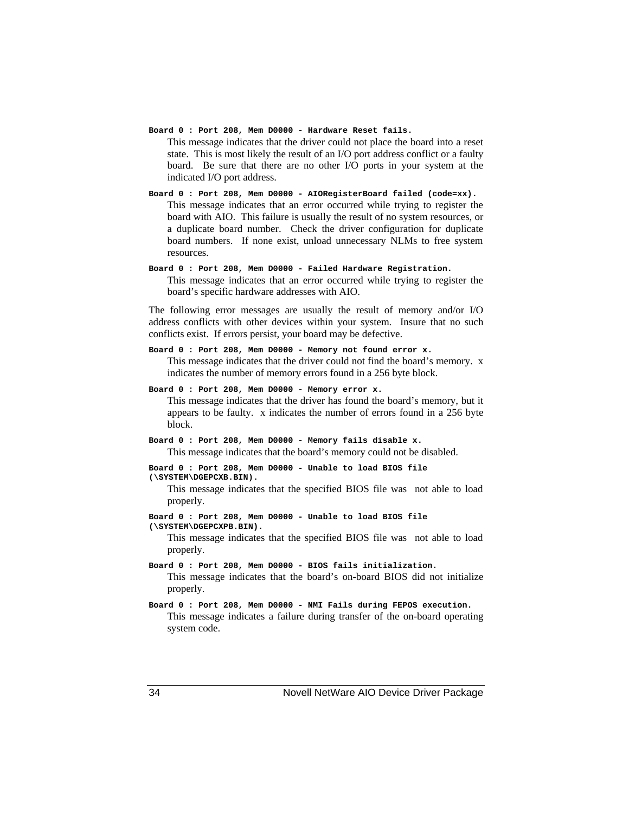**Board 0 : Port 208, Mem D0000 - Hardware Reset fails.**

This message indicates that the driver could not place the board into a reset state. This is most likely the result of an I/O port address conflict or a faulty board. Be sure that there are no other I/O ports in your system at the indicated I/O port address.

**Board 0 : Port 208, Mem D0000 - AIORegisterBoard failed (code=xx).** This message indicates that an error occurred while trying to register the board with AIO. This failure is usually the result of no system resources, or a duplicate board number. Check the driver configuration for duplicate board numbers. If none exist, unload unnecessary NLMs to free system resources.

**Board 0 : Port 208, Mem D0000 - Failed Hardware Registration.** This message indicates that an error occurred while trying to register the board's specific hardware addresses with AIO.

The following error messages are usually the result of memory and/or I/O address conflicts with other devices within your system. Insure that no such conflicts exist. If errors persist, your board may be defective.

- **Board 0 : Port 208, Mem D0000 Memory not found error x.** This message indicates that the driver could not find the board's memory. x indicates the number of memory errors found in a 256 byte block.
- **Board 0 : Port 208, Mem D0000 Memory error x.** This message indicates that the driver has found the board's memory, but it appears to be faulty. x indicates the number of errors found in a 256 byte block.
- **Board 0 : Port 208, Mem D0000 Memory fails disable x.** This message indicates that the board's memory could not be disabled.

```
Board 0 : Port 208, Mem D0000 - Unable to load BIOS file
(\SYSTEM\DGEPCXB.BIN).
```
This message indicates that the specified BIOS file was not able to load properly.

**Board 0 : Port 208, Mem D0000 - Unable to load BIOS file (\SYSTEM\DGEPCXPB.BIN).**

This message indicates that the specified BIOS file was not able to load properly.

**Board 0 : Port 208, Mem D0000 - BIOS fails initialization.** This message indicates that the board's on-board BIOS did not initialize properly.

**Board 0 : Port 208, Mem D0000 - NMI Fails during FEPOS execution.** This message indicates a failure during transfer of the on-board operating system code.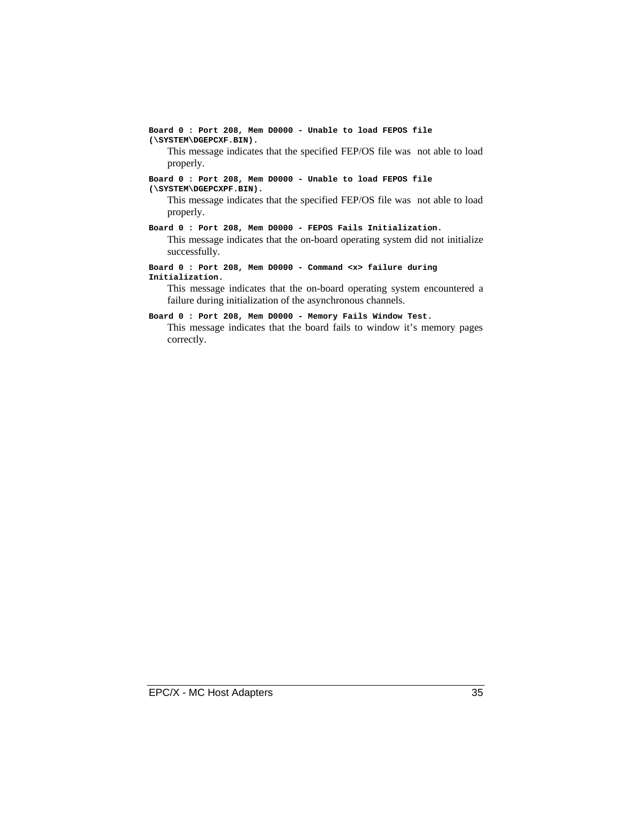**Board 0 : Port 208, Mem D0000 - Unable to load FEPOS file (\SYSTEM\DGEPCXF.BIN).**

This message indicates that the specified FEP/OS file was not able to load properly.

#### **Board 0 : Port 208, Mem D0000 - Unable to load FEPOS file (\SYSTEM\DGEPCXPF.BIN).**

This message indicates that the specified FEP/OS file was not able to load properly.

**Board 0 : Port 208, Mem D0000 - FEPOS Fails Initialization.**

This message indicates that the on-board operating system did not initialize successfully.

**Board 0 : Port 208, Mem D0000 - Command <x> failure during Initialization.**

This message indicates that the on-board operating system encountered a failure during initialization of the asynchronous channels.

#### **Board 0 : Port 208, Mem D0000 - Memory Fails Window Test.**

This message indicates that the board fails to window it's memory pages correctly.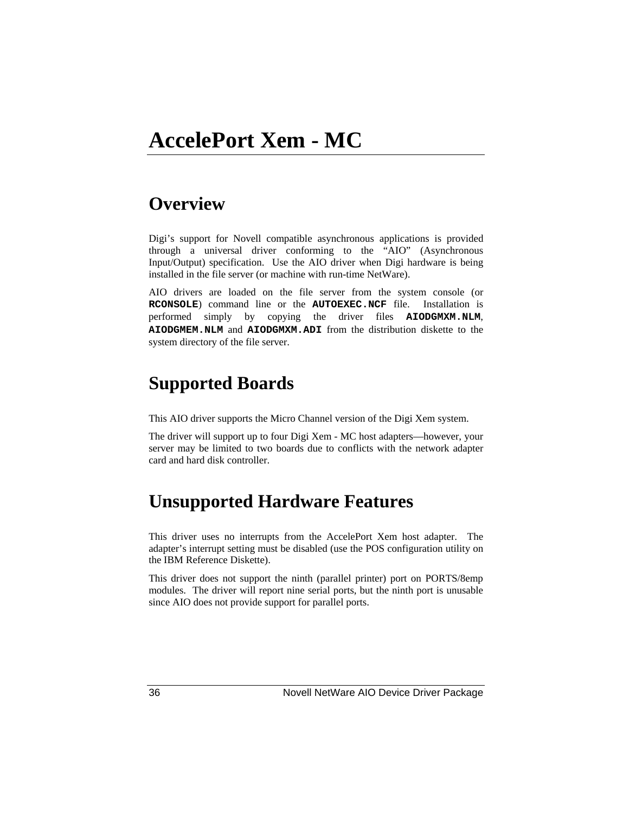# **Overview**

Digi's support for Novell compatible asynchronous applications is provided through a universal driver conforming to the "AIO" (Asynchronous Input/Output) specification. Use the AIO driver when Digi hardware is being installed in the file server (or machine with run-time NetWare).

AIO drivers are loaded on the file server from the system console (or **RCONSOLE**) command line or the **AUTOEXEC.NCF** file. Installation is performed simply by copying the driver files **AIODGMXM.NLM**, **AIODGMEM.NLM** and **AIODGMXM.ADI** from the distribution diskette to the system directory of the file server.

# **Supported Boards**

This AIO driver supports the Micro Channel version of the Digi Xem system.

The driver will support up to four Digi Xem - MC host adapters—however, your server may be limited to two boards due to conflicts with the network adapter card and hard disk controller.

# **Unsupported Hardware Features**

This driver uses no interrupts from the AccelePort Xem host adapter. The adapter's interrupt setting must be disabled (use the POS configuration utility on the IBM Reference Diskette).

This driver does not support the ninth (parallel printer) port on PORTS/8emp modules. The driver will report nine serial ports, but the ninth port is unusable since AIO does not provide support for parallel ports.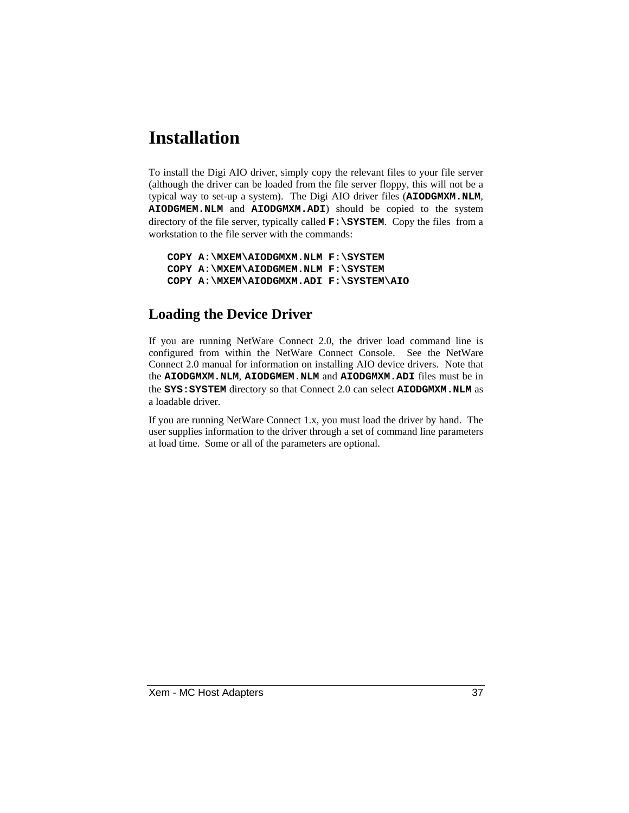# **Installation**

To install the Digi AIO driver, simply copy the relevant files to your file server (although the driver can be loaded from the file server floppy, this will not be a typical way to set-up a system). The Digi AIO driver files (**AIODGMXM.NLM**, **AIODGMEM.NLM** and **AIODGMXM.ADI**) should be copied to the system directory of the file server, typically called **F:\SYSTEM**. Copy the files from a workstation to the file server with the commands:

```
COPY A:\MXEM\AIODGMXM.NLM F:\SYSTEM
COPY A:\MXEM\AIODGMEM.NLM F:\SYSTEM
COPY A:\MXEM\AIODGMXM.ADI F:\SYSTEM\AIO
```
### **Loading the Device Driver**

If you are running NetWare Connect 2.0, the driver load command line is configured from within the NetWare Connect Console. See the NetWare Connect 2.0 manual for information on installing AIO device drivers. Note that the **AIODGMXM.NLM**, **AIODGMEM.NLM** and **AIODGMXM.ADI** files must be in the **SYS:SYSTEM** directory so that Connect 2.0 can select **AIODGMXM.NLM** as a loadable driver.

If you are running NetWare Connect 1.x, you must load the driver by hand. The user supplies information to the driver through a set of command line parameters at load time. Some or all of the parameters are optional.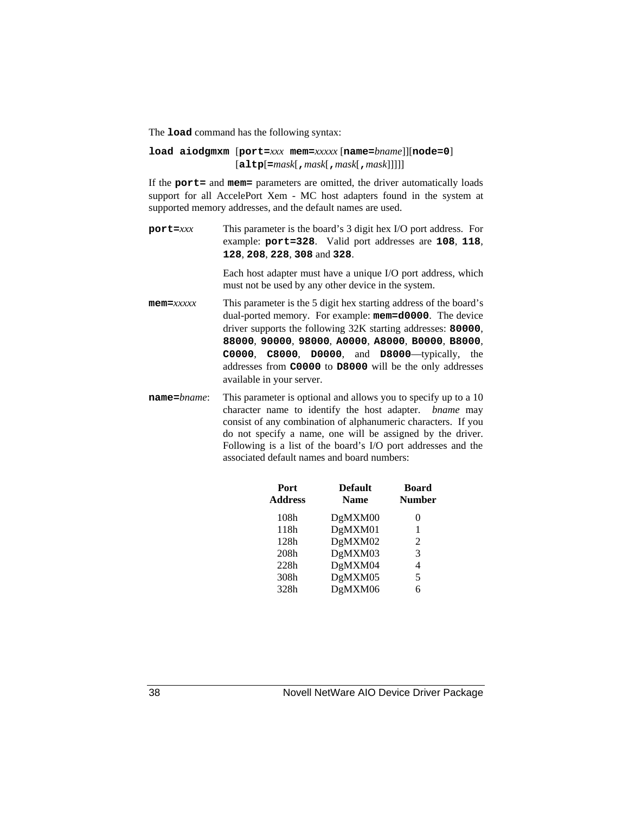The **load** command has the following syntax:

#### **load aiodgmxm** [**port=***xxx* **mem=***xxxxx* [**name=***bname*]][**node=0**] [**altp**[**=***mask*[**,***mask*[**,***mask*[**,***mask*]]]]]

If the **port=** and **mem=** parameters are omitted, the driver automatically loads support for all AccelePort Xem - MC host adapters found in the system at supported memory addresses, and the default names are used.

**port=***xxx* This parameter is the board's 3 digit hex I/O port address. For example: **port=328**. Valid port addresses are **108**, **118**, **128**, **208**, **228**, **308** and **328**.

> Each host adapter must have a unique I/O port address, which must not be used by any other device in the system.

- **mem=***xxxxx* This parameter is the 5 digit hex starting address of the board's dual-ported memory. For example: **mem=d0000**. The device driver supports the following 32K starting addresses: **80000**, **88000**, **90000**, **98000**, **A0000**, **A8000**, **B0000**, **B8000**, **C0000**, **C8000**, **D0000**, and **D8000**—typically, the addresses from **C0000** to **D8000** will be the only addresses available in your server.
- **name**=*bname*: This parameter is optional and allows you to specify up to a 10 character name to identify the host adapter. *bname* may consist of any combination of alphanumeric characters. If you do not specify a name, one will be assigned by the driver. Following is a list of the board's I/O port addresses and the associated default names and board numbers:

| Port<br>Address | <b>Default</b><br><b>Name</b> | <b>Board</b><br><b>Number</b> |  |
|-----------------|-------------------------------|-------------------------------|--|
| 108h            | DgMXM00                       | $\theta$                      |  |
| 118h            | DgMXM01                       | 1                             |  |
| 128h            | DgMXM02                       | 2                             |  |
| 208h            | DgMXM03                       | 3                             |  |
| 228h            | DgMXM04                       | 4                             |  |
| 308h            | DgMXM05                       | 5                             |  |
| 328h            | DgMXM06                       | 6                             |  |
|                 |                               |                               |  |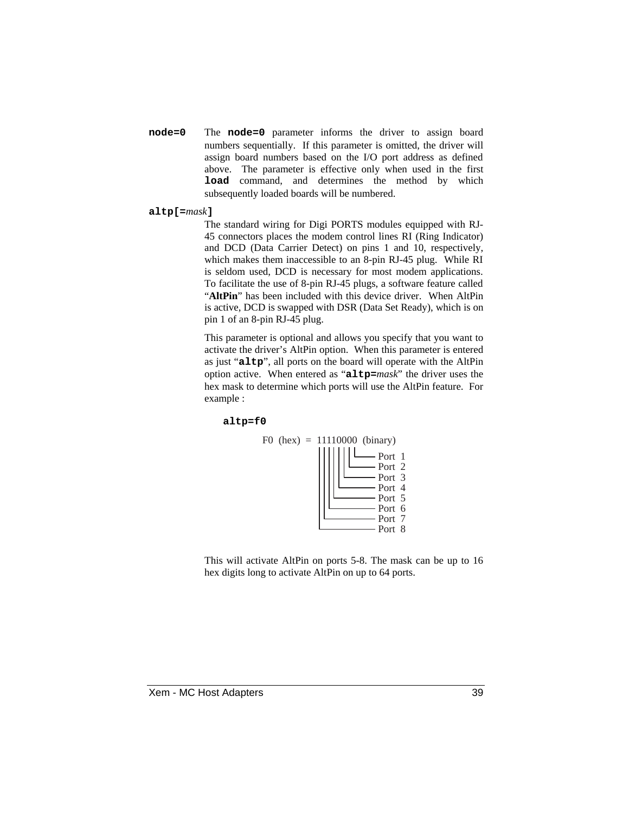**node=0** The **node=0** parameter informs the driver to assign board numbers sequentially. If this parameter is omitted, the driver will assign board numbers based on the I/O port address as defined above. The parameter is effective only when used in the first **load** command, and determines the method by which subsequently loaded boards will be numbered.

#### **altp[=***mask***]**

The standard wiring for Digi PORTS modules equipped with RJ-45 connectors places the modem control lines RI (Ring Indicator) and DCD (Data Carrier Detect) on pins 1 and 10, respectively, which makes them inaccessible to an 8-pin RJ-45 plug. While RI is seldom used, DCD is necessary for most modem applications. To facilitate the use of 8-pin RJ-45 plugs, a software feature called "**AltPin**" has been included with this device driver. When AltPin is active, DCD is swapped with DSR (Data Set Ready), which is on pin 1 of an 8-pin RJ-45 plug.

This parameter is optional and allows you specify that you want to activate the driver's AltPin option. When this parameter is entered as just "**altp**", all ports on the board will operate with the AltPin option active. When entered as "**altp=***mask*" the driver uses the hex mask to determine which ports will use the AltPin feature. For example :

#### **altp=f0**



This will activate AltPin on ports 5-8. The mask can be up to 16 hex digits long to activate AltPin on up to 64 ports.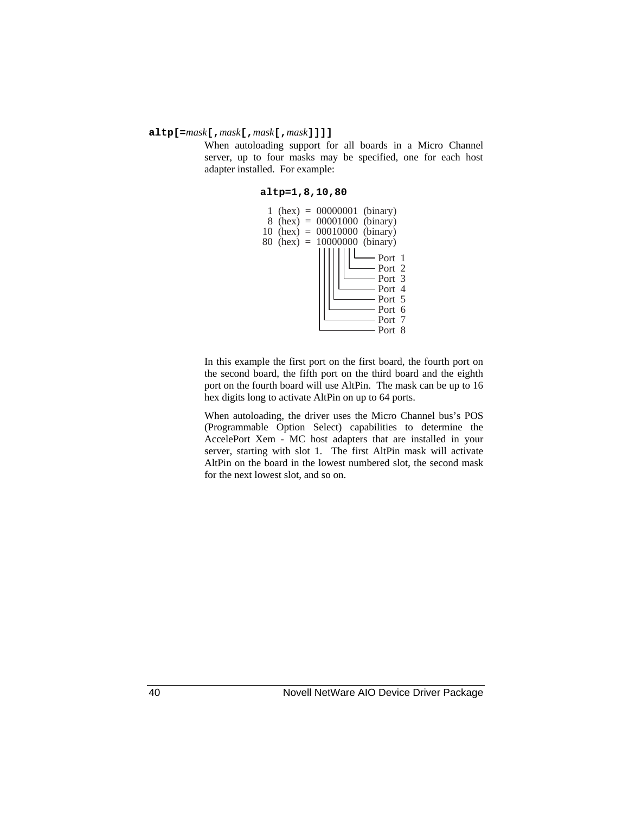#### **altp[=***mask***[,***mask***[,***mask***[,***mask***]]]]**

When autoloading support for all boards in a Micro Channel server, up to four masks may be specified, one for each host adapter installed. For example:

#### **altp=1,8,10,80**



In this example the first port on the first board, the fourth port on the second board, the fifth port on the third board and the eighth port on the fourth board will use AltPin. The mask can be up to 16 hex digits long to activate AltPin on up to 64 ports.

When autoloading, the driver uses the Micro Channel bus's POS (Programmable Option Select) capabilities to determine the AccelePort Xem - MC host adapters that are installed in your server, starting with slot 1. The first AltPin mask will activate AltPin on the board in the lowest numbered slot, the second mask for the next lowest slot, and so on.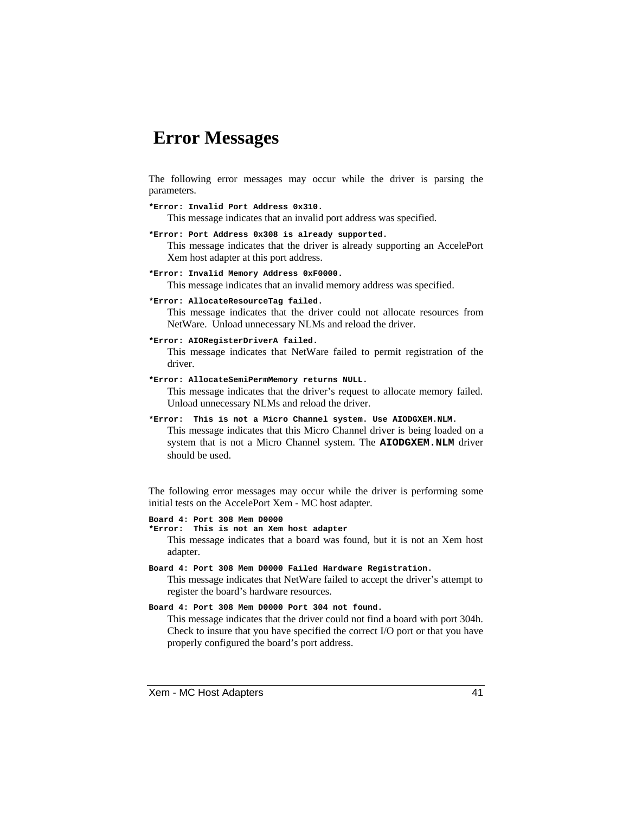### **Error Messages**

The following error messages may occur while the driver is parsing the parameters.

**\*Error: Invalid Port Address 0x310.** This message indicates that an invalid port address was specified.

- **\*Error: Port Address 0x308 is already supported.** This message indicates that the driver is already supporting an AccelePort Xem host adapter at this port address.
- **\*Error: Invalid Memory Address 0xF0000.**

This message indicates that an invalid memory address was specified.

**\*Error: AllocateResourceTag failed.**

This message indicates that the driver could not allocate resources from NetWare. Unload unnecessary NLMs and reload the driver.

**\*Error: AIORegisterDriverA failed.**

This message indicates that NetWare failed to permit registration of the driver.

- **\*Error: AllocateSemiPermMemory returns NULL.** This message indicates that the driver's request to allocate memory failed. Unload unnecessary NLMs and reload the driver.
- **\*Error: This is not a Micro Channel system. Use AIODGXEM.NLM.**

This message indicates that this Micro Channel driver is being loaded on a system that is not a Micro Channel system. The **AIODGXEM.NLM** driver should be used.

The following error messages may occur while the driver is performing some initial tests on the AccelePort Xem - MC host adapter.

**Board 4: Port 308 Mem D0000 \*Error: This is not an Xem host adapter** This message indicates that a board was found, but it is not an Xem host adapter.

**Board 4: Port 308 Mem D0000 Failed Hardware Registration.** This message indicates that NetWare failed to accept the driver's attempt to register the board's hardware resources.

**Board 4: Port 308 Mem D0000 Port 304 not found.**

This message indicates that the driver could not find a board with port 304h. Check to insure that you have specified the correct I/O port or that you have properly configured the board's port address.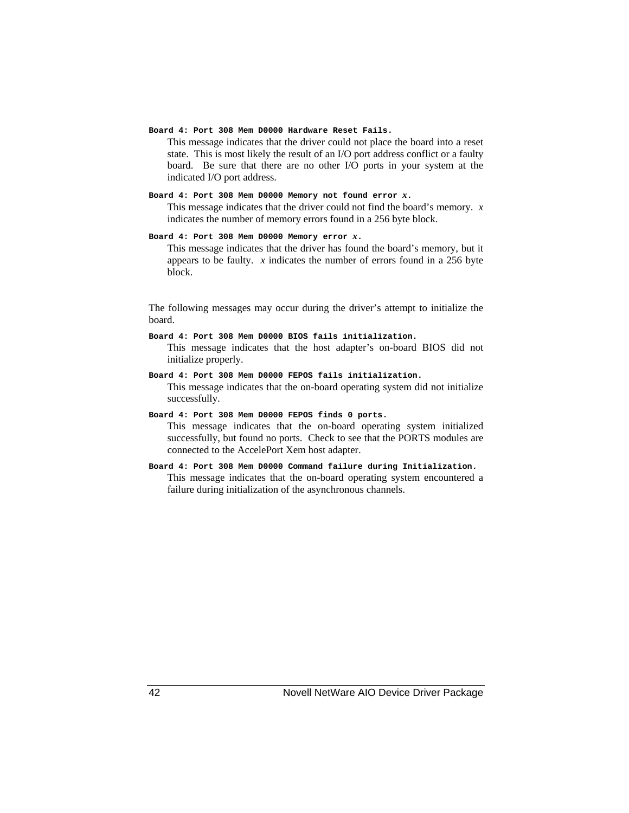#### **Board 4: Port 308 Mem D0000 Hardware Reset Fails.**

This message indicates that the driver could not place the board into a reset state. This is most likely the result of an I/O port address conflict or a faulty board. Be sure that there are no other I/O ports in your system at the indicated I/O port address.

#### **Board 4: Port 308 Mem D0000 Memory not found error** *x***.**

This message indicates that the driver could not find the board's memory. *x* indicates the number of memory errors found in a 256 byte block.

#### **Board 4: Port 308 Mem D0000 Memory error** *x***.**

This message indicates that the driver has found the board's memory, but it appears to be faulty. *x* indicates the number of errors found in a 256 byte block.

The following messages may occur during the driver's attempt to initialize the board.

# **Board 4: Port 308 Mem D0000 BIOS fails initialization.**

This message indicates that the host adapter's on-board BIOS did not initialize properly.

**Board 4: Port 308 Mem D0000 FEPOS fails initialization.** This message indicates that the on-board operating system did not initialize successfully.

#### **Board 4: Port 308 Mem D0000 FEPOS finds 0 ports.**

This message indicates that the on-board operating system initialized successfully, but found no ports. Check to see that the PORTS modules are connected to the AccelePort Xem host adapter.

#### **Board 4: Port 308 Mem D0000 Command failure during Initialization.**

This message indicates that the on-board operating system encountered a failure during initialization of the asynchronous channels.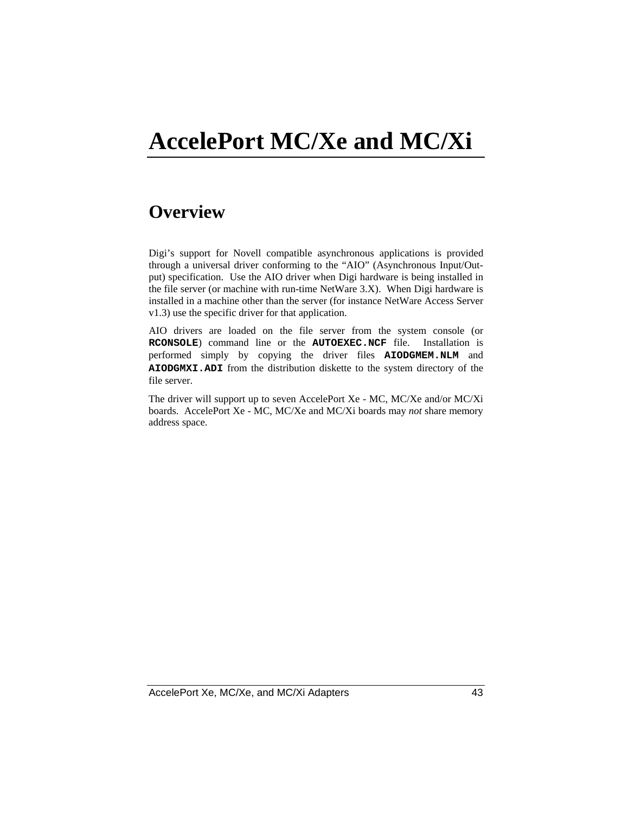# **AccelePort MC/Xe and MC/Xi**

# **Overview**

Digi's support for Novell compatible asynchronous applications is provided through a universal driver conforming to the "AIO" (Asynchronous Input/Output) specification. Use the AIO driver when Digi hardware is being installed in the file server (or machine with run-time NetWare 3.X). When Digi hardware is installed in a machine other than the server (for instance NetWare Access Server v1.3) use the specific driver for that application.

AIO drivers are loaded on the file server from the system console (or **RCONSOLE**) command line or the **AUTOEXEC.NCF** file. Installation is performed simply by copying the driver files **AIODGMEM.NLM** and **AIODGMXI.ADI** from the distribution diskette to the system directory of the file server.

The driver will support up to seven AccelePort Xe - MC, MC/Xe and/or MC/Xi boards. AccelePort Xe - MC, MC/Xe and MC/Xi boards may *not* share memory address space.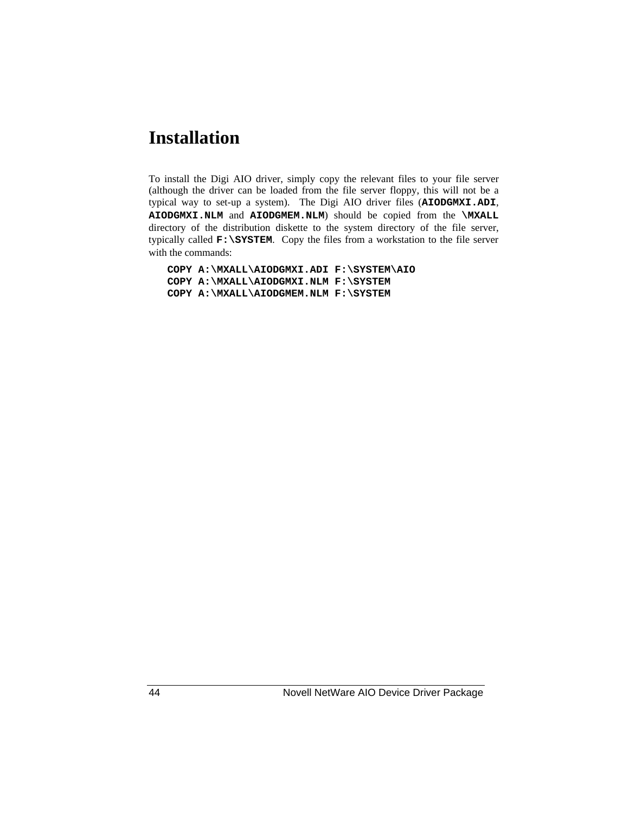# **Installation**

To install the Digi AIO driver, simply copy the relevant files to your file server (although the driver can be loaded from the file server floppy, this will not be a typical way to set-up a system). The Digi AIO driver files (**AIODGMXI.ADI**, **AIODGMXI.NLM** and **AIODGMEM.NLM**) should be copied from the **\MXALL** directory of the distribution diskette to the system directory of the file server, typically called **F:\SYSTEM**. Copy the files from a workstation to the file server with the commands:

**COPY A:\MXALL\AIODGMXI.ADI F:\SYSTEM\AIO COPY A:\MXALL\AIODGMXI.NLM F:\SYSTEM COPY A:\MXALL\AIODGMEM.NLM F:\SYSTEM**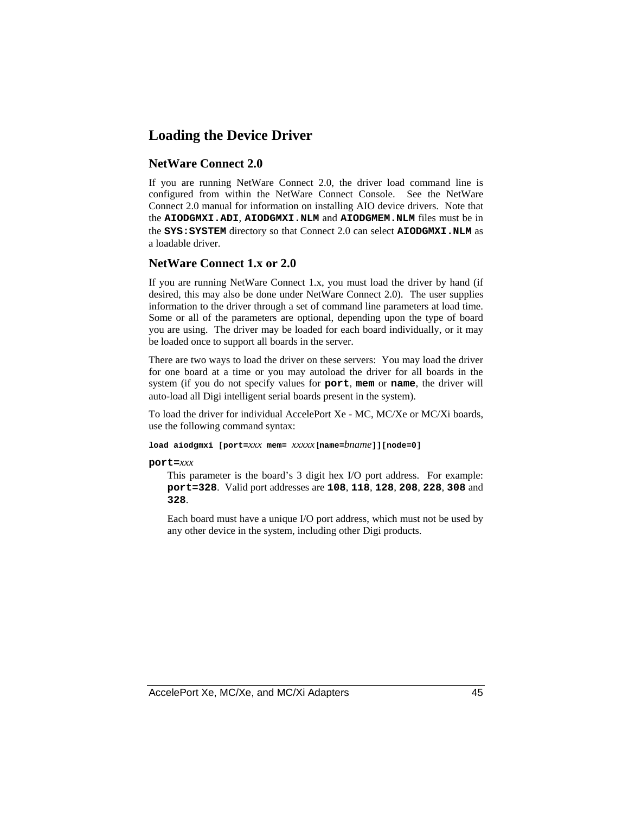### **Loading the Device Driver**

#### **NetWare Connect 2.0**

If you are running NetWare Connect 2.0, the driver load command line is configured from within the NetWare Connect Console. See the NetWare Connect 2.0 manual for information on installing AIO device drivers. Note that the **AIODGMXI.ADI**, **AIODGMXI.NLM** and **AIODGMEM.NLM** files must be in the **SYS:SYSTEM** directory so that Connect 2.0 can select **AIODGMXI.NLM** as a loadable driver.

#### **NetWare Connect 1.x or 2.0**

If you are running NetWare Connect 1.x, you must load the driver by hand (if desired, this may also be done under NetWare Connect 2.0). The user supplies information to the driver through a set of command line parameters at load time. Some or all of the parameters are optional, depending upon the type of board you are using. The driver may be loaded for each board individually, or it may be loaded once to support all boards in the server.

There are two ways to load the driver on these servers: You may load the driver for one board at a time or you may autoload the driver for all boards in the system (if you do not specify values for **port**, **mem** or **name**, the driver will auto-load all Digi intelligent serial boards present in the system).

To load the driver for individual AccelePort Xe - MC, MC/Xe or MC/Xi boards, use the following command syntax:

**load aiodgmxi [port=***xxx* **mem=** *xxxxx* **[name=***bname***]][node=0]**

**port=***xxx*

This parameter is the board's 3 digit hex I/O port address. For example: **port=328**. Valid port addresses are **108**, **118**, **128**, **208**, **228**, **308** and **328**.

Each board must have a unique I/O port address, which must not be used by any other device in the system, including other Digi products.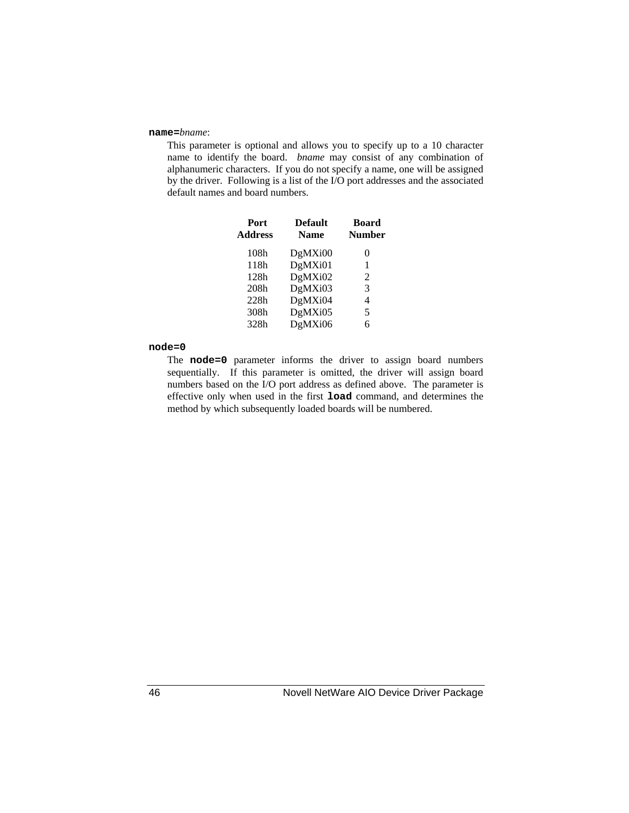#### **name=***bname*:

This parameter is optional and allows you to specify up to a 10 character name to identify the board. *bname* may consist of any combination of alphanumeric characters. If you do not specify a name, one will be assigned by the driver. Following is a list of the I/O port addresses and the associated default names and board numbers.

| Port<br><b>Address</b> | <b>Default</b><br><b>Name</b> | <b>Board</b><br><b>Number</b> |
|------------------------|-------------------------------|-------------------------------|
| 108h                   | DgMXi00                       | $\theta$                      |
| 118h                   | DgMXi01                       | 1                             |
| 128h                   | DgMXi02                       | 2                             |
| 208h                   | DgMXi03                       | 3                             |
| 228h                   | DgMXi04                       | 4                             |
| 308h                   | DgMXi05                       | 5                             |
| 328h                   | DgMXi06                       | 6                             |

#### **node=0**

The **node=0** parameter informs the driver to assign board numbers sequentially. If this parameter is omitted, the driver will assign board numbers based on the I/O port address as defined above. The parameter is effective only when used in the first **load** command, and determines the method by which subsequently loaded boards will be numbered.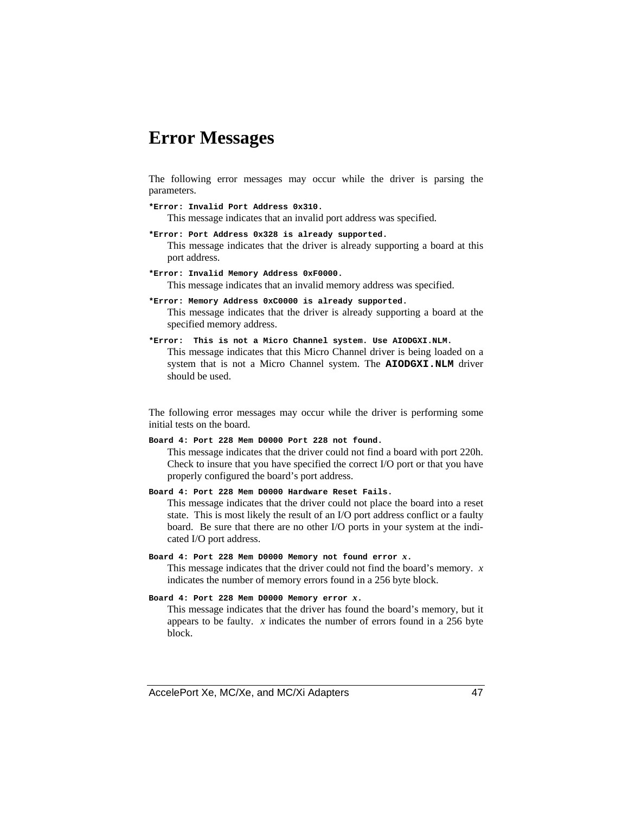### **Error Messages**

The following error messages may occur while the driver is parsing the parameters.

**\*Error: Invalid Port Address 0x310.** This message indicates that an invalid port address was specified.

- **\*Error: Port Address 0x328 is already supported.** This message indicates that the driver is already supporting a board at this port address.
- **\*Error: Invalid Memory Address 0xF0000.** This message indicates that an invalid memory address was specified.

**\*Error: Memory Address 0xC0000 is already supported.** This message indicates that the driver is already supporting a board at the specified memory address.

**\*Error: This is not a Micro Channel system. Use AIODGXI.NLM.** This message indicates that this Micro Channel driver is being loaded on a system that is not a Micro Channel system. The AIODGXI.NLM driver

should be used.

The following error messages may occur while the driver is performing some initial tests on the board.

**Board 4: Port 228 Mem D0000 Port 228 not found.**

This message indicates that the driver could not find a board with port 220h. Check to insure that you have specified the correct I/O port or that you have properly configured the board's port address.

**Board 4: Port 228 Mem D0000 Hardware Reset Fails.**

This message indicates that the driver could not place the board into a reset state. This is most likely the result of an I/O port address conflict or a faulty board. Be sure that there are no other I/O ports in your system at the indicated I/O port address.

**Board 4: Port 228 Mem D0000 Memory not found error** *x***.**

This message indicates that the driver could not find the board's memory. *x* indicates the number of memory errors found in a 256 byte block.

```
Board 4: Port 228 Mem D0000 Memory error x.
```
This message indicates that the driver has found the board's memory, but it appears to be faulty. *x* indicates the number of errors found in a 256 byte block.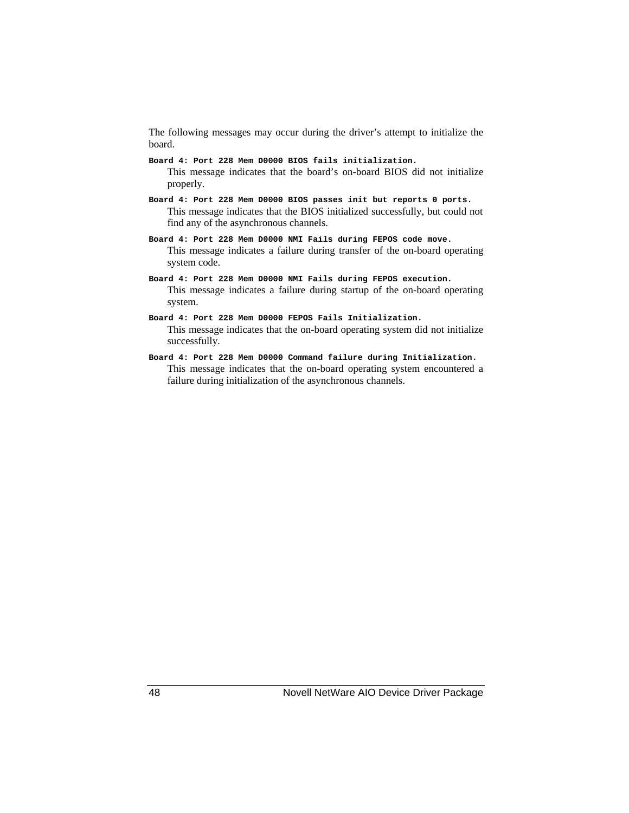The following messages may occur during the driver's attempt to initialize the board.

- **Board 4: Port 228 Mem D0000 BIOS fails initialization.** This message indicates that the board's on-board BIOS did not initialize properly.
- **Board 4: Port 228 Mem D0000 BIOS passes init but reports 0 ports.** This message indicates that the BIOS initialized successfully, but could not find any of the asynchronous channels.
- **Board 4: Port 228 Mem D0000 NMI Fails during FEPOS code move.** This message indicates a failure during transfer of the on-board operating system code.
- **Board 4: Port 228 Mem D0000 NMI Fails during FEPOS execution.** This message indicates a failure during startup of the on-board operating system.
- **Board 4: Port 228 Mem D0000 FEPOS Fails Initialization.** This message indicates that the on-board operating system did not initialize successfully.
- **Board 4: Port 228 Mem D0000 Command failure during Initialization.** This message indicates that the on-board operating system encountered a failure during initialization of the asynchronous channels.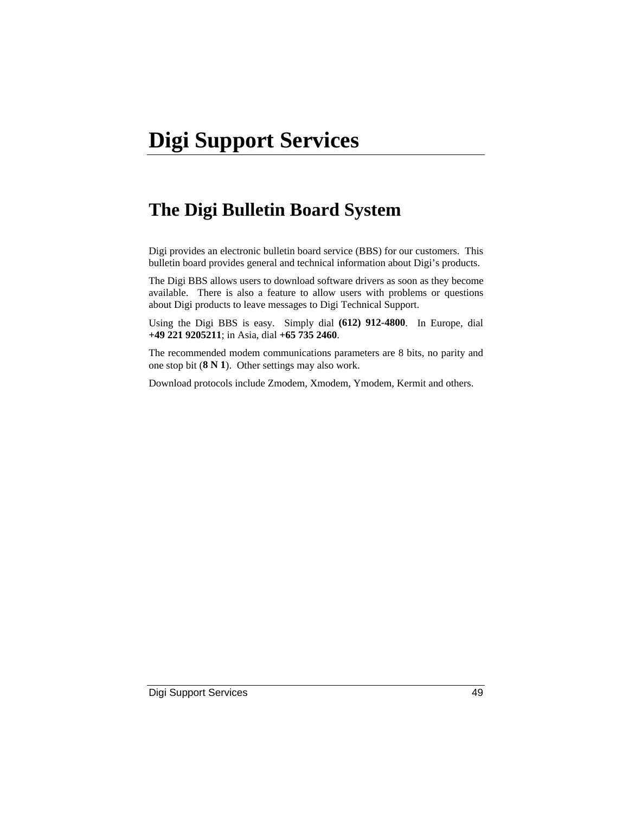# **The Digi Bulletin Board System**

Digi provides an electronic bulletin board service (BBS) for our customers. This bulletin board provides general and technical information about Digi's products.

The Digi BBS allows users to download software drivers as soon as they become available. There is also a feature to allow users with problems or questions about Digi products to leave messages to Digi Technical Support.

Using the Digi BBS is easy. Simply dial **(612) 912-4800**. In Europe, dial **+49 221 9205211**; in Asia, dial **+65 735 2460**.

The recommended modem communications parameters are 8 bits, no parity and one stop bit (**8 N 1**). Other settings may also work.

Download protocols include Zmodem, Xmodem, Ymodem, Kermit and others.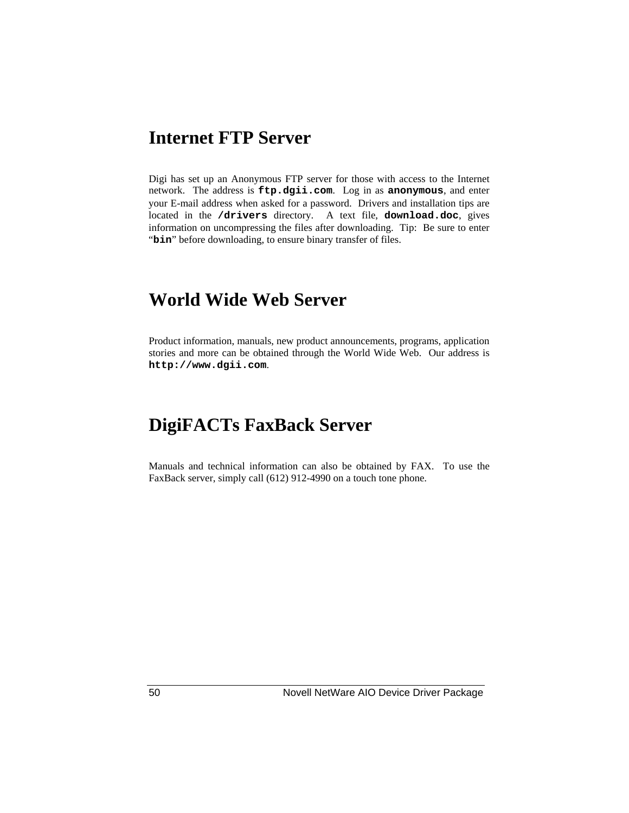## **Internet FTP Server**

Digi has set up an Anonymous FTP server for those with access to the Internet network. The address is **ftp.dgii.com**. Log in as **anonymous**, and enter your E-mail address when asked for a password. Drivers and installation tips are located in the **/drivers** directory. A text file, **download.doc**, gives information on uncompressing the files after downloading. Tip: Be sure to enter "bin" before downloading, to ensure binary transfer of files.

### **World Wide Web Server**

Product information, manuals, new product announcements, programs, application stories and more can be obtained through the World Wide Web. Our address is **http://www.dgii.com**.

# **DigiFACTs FaxBack Server**

Manuals and technical information can also be obtained by FAX. To use the FaxBack server, simply call (612) 912-4990 on a touch tone phone.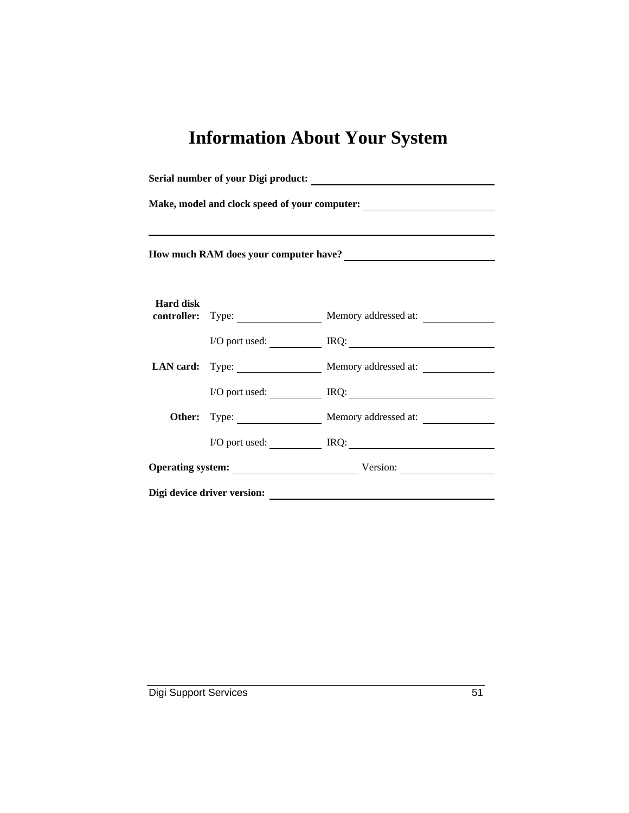# **Information About Your System**

| Make, model and clock speed of your computer:<br><u>Letting</u><br>How much RAM does your computer have?<br><u> </u> |  |                                               |  |  |
|----------------------------------------------------------------------------------------------------------------------|--|-----------------------------------------------|--|--|
|                                                                                                                      |  |                                               |  |  |
| <b>Hard disk</b>                                                                                                     |  | <b>controller:</b> Type: Memory addressed at: |  |  |
|                                                                                                                      |  | I/O port used: <u>Next RQ:</u>                |  |  |
|                                                                                                                      |  | LAN card: Type: Memory addressed at:          |  |  |
|                                                                                                                      |  | $I/O$ port used: $IRQ$ :                      |  |  |
|                                                                                                                      |  | Memory addressed at:                          |  |  |
|                                                                                                                      |  | I/O port used: IRQ: IRQ:                      |  |  |
|                                                                                                                      |  | Operating system: Version:                    |  |  |
| Digi device driver version:                                                                                          |  |                                               |  |  |